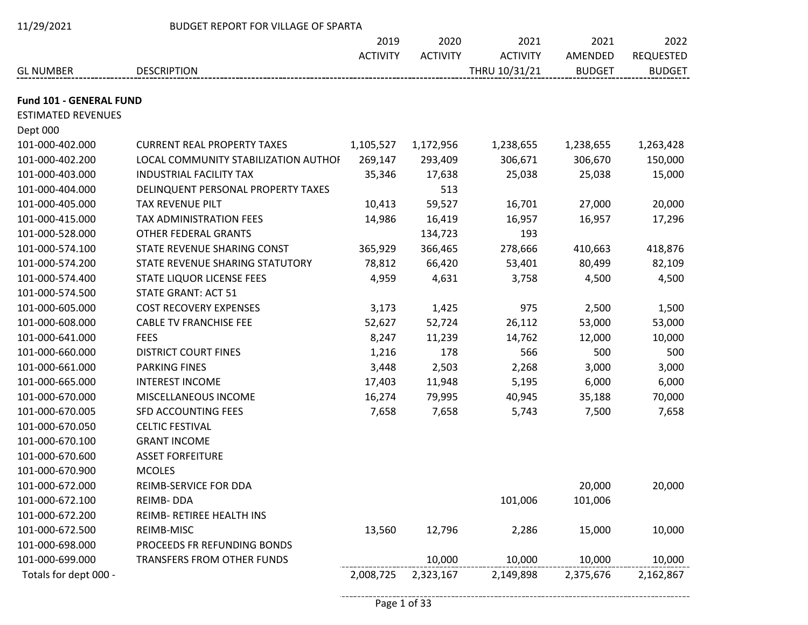| 11/29/2021                | BUDGET REPORT FOR VILLAGE OF SPARTA  |                 |                 |                 |               |                  |  |  |  |
|---------------------------|--------------------------------------|-----------------|-----------------|-----------------|---------------|------------------|--|--|--|
|                           |                                      | 2019            | 2020            | 2021            | 2021          | 2022             |  |  |  |
|                           |                                      | <b>ACTIVITY</b> | <b>ACTIVITY</b> | <b>ACTIVITY</b> | AMENDED       | <b>REQUESTED</b> |  |  |  |
| <b>GL NUMBER</b>          | <b>DESCRIPTION</b>                   |                 |                 | THRU 10/31/21   | <b>BUDGET</b> | <b>BUDGET</b>    |  |  |  |
| Fund 101 - GENERAL FUND   |                                      |                 |                 |                 |               |                  |  |  |  |
| <b>ESTIMATED REVENUES</b> |                                      |                 |                 |                 |               |                  |  |  |  |
| Dept 000                  |                                      |                 |                 |                 |               |                  |  |  |  |
| 101-000-402.000           | <b>CURRENT REAL PROPERTY TAXES</b>   | 1,105,527       | 1,172,956       | 1,238,655       | 1,238,655     | 1,263,428        |  |  |  |
| 101-000-402.200           | LOCAL COMMUNITY STABILIZATION AUTHOF | 269,147         | 293,409         | 306,671         | 306,670       | 150,000          |  |  |  |
| 101-000-403.000           | <b>INDUSTRIAL FACILITY TAX</b>       | 35,346          | 17,638          | 25,038          | 25,038        | 15,000           |  |  |  |
| 101-000-404.000           | DELINQUENT PERSONAL PROPERTY TAXES   |                 | 513             |                 |               |                  |  |  |  |
| 101-000-405.000           | TAX REVENUE PILT                     | 10,413          | 59,527          | 16,701          | 27,000        | 20,000           |  |  |  |
| 101-000-415.000           | TAX ADMINISTRATION FEES              | 14,986          | 16,419          | 16,957          | 16,957        | 17,296           |  |  |  |
| 101-000-528.000           | OTHER FEDERAL GRANTS                 |                 | 134,723         | 193             |               |                  |  |  |  |
| 101-000-574.100           | STATE REVENUE SHARING CONST          | 365,929         | 366,465         | 278,666         | 410,663       | 418,876          |  |  |  |
| 101-000-574.200           | STATE REVENUE SHARING STATUTORY      | 78,812          | 66,420          | 53,401          | 80,499        | 82,109           |  |  |  |
| 101-000-574.400           | STATE LIQUOR LICENSE FEES            | 4,959           | 4,631           | 3,758           | 4,500         | 4,500            |  |  |  |
| 101-000-574.500           | <b>STATE GRANT: ACT 51</b>           |                 |                 |                 |               |                  |  |  |  |
| 101-000-605.000           | <b>COST RECOVERY EXPENSES</b>        | 3,173           | 1,425           | 975             | 2,500         | 1,500            |  |  |  |
| 101-000-608.000           | <b>CABLE TV FRANCHISE FEE</b>        | 52,627          | 52,724          | 26,112          | 53,000        | 53,000           |  |  |  |
| 101-000-641.000           | <b>FEES</b>                          | 8,247           | 11,239          | 14,762          | 12,000        | 10,000           |  |  |  |
| 101-000-660.000           | <b>DISTRICT COURT FINES</b>          | 1,216           | 178             | 566             | 500           | 500              |  |  |  |
| 101-000-661.000           | <b>PARKING FINES</b>                 | 3,448           | 2,503           | 2,268           | 3,000         | 3,000            |  |  |  |
| 101-000-665.000           | <b>INTEREST INCOME</b>               | 17,403          | 11,948          | 5,195           | 6,000         | 6,000            |  |  |  |
| 101-000-670.000           | MISCELLANEOUS INCOME                 | 16,274          | 79,995          | 40,945          | 35,188        | 70,000           |  |  |  |
| 101-000-670.005           | SFD ACCOUNTING FEES                  | 7,658           | 7,658           | 5,743           | 7,500         | 7,658            |  |  |  |
| 101-000-670.050           | <b>CELTIC FESTIVAL</b>               |                 |                 |                 |               |                  |  |  |  |
| 101-000-670.100           | <b>GRANT INCOME</b>                  |                 |                 |                 |               |                  |  |  |  |
| 101-000-670.600           | <b>ASSET FORFEITURE</b>              |                 |                 |                 |               |                  |  |  |  |
| 101-000-670.900           | <b>MCOLES</b>                        |                 |                 |                 |               |                  |  |  |  |
| 101-000-672.000           | REIMB-SERVICE FOR DDA                |                 |                 |                 | 20,000        | 20,000           |  |  |  |
| 101-000-672.100           | REIMB-DDA                            |                 |                 | 101,006         | 101,006       |                  |  |  |  |
| 101-000-672.200           | REIMB- RETIREE HEALTH INS            |                 |                 |                 |               |                  |  |  |  |
| 101-000-672.500           | REIMB-MISC                           | 13,560          | 12,796          | 2,286           | 15,000        | 10,000           |  |  |  |
| 101-000-698.000           | PROCEEDS FR REFUNDING BONDS          |                 |                 |                 |               |                  |  |  |  |
| 101-000-699.000           | TRANSFERS FROM OTHER FUNDS           |                 | 10,000          | 10,000          | 10,000        | 10,000           |  |  |  |
| Totals for dept 000 -     |                                      | 2,008,725       | 2,323,167       | 2,149,898       | 2,375,676     | 2,162,867        |  |  |  |

 $\sim$   $\sim$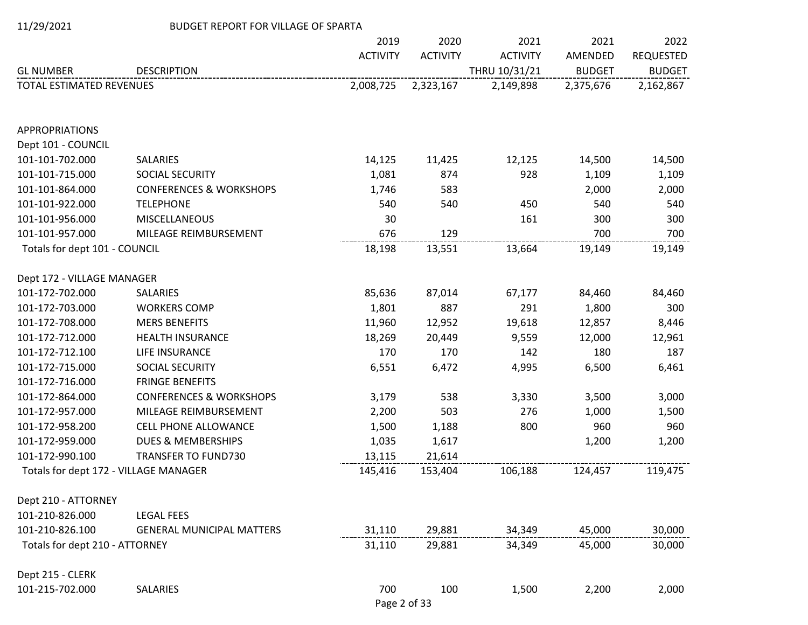|  | 11/29/2021 |
|--|------------|
|  |            |

## BUDGET REPORT FOR VILLAGE OF SPARTA

|                                       |                                    | 2019            | 2020            | 2021            | 2021          | 2022             |
|---------------------------------------|------------------------------------|-----------------|-----------------|-----------------|---------------|------------------|
|                                       |                                    | <b>ACTIVITY</b> | <b>ACTIVITY</b> | <b>ACTIVITY</b> | AMENDED       | <b>REQUESTED</b> |
| <b>GL NUMBER</b>                      | <b>DESCRIPTION</b>                 |                 |                 | THRU 10/31/21   | <b>BUDGET</b> | <b>BUDGET</b>    |
| TOTAL ESTIMATED REVENUES              |                                    | 2,008,725       | 2,323,167       | 2,149,898       | 2,375,676     | 2,162,867        |
| <b>APPROPRIATIONS</b>                 |                                    |                 |                 |                 |               |                  |
| Dept 101 - COUNCIL                    |                                    |                 |                 |                 |               |                  |
| 101-101-702.000                       | <b>SALARIES</b>                    | 14,125          | 11,425          | 12,125          | 14,500        | 14,500           |
| 101-101-715.000                       | SOCIAL SECURITY                    | 1,081           | 874             | 928             | 1,109         | 1,109            |
| 101-101-864.000                       | <b>CONFERENCES &amp; WORKSHOPS</b> | 1,746           | 583             |                 | 2,000         | 2,000            |
| 101-101-922.000                       | <b>TELEPHONE</b>                   | 540             | 540             | 450             | 540           | 540              |
| 101-101-956.000                       | <b>MISCELLANEOUS</b>               | 30              |                 | 161             | 300           | 300              |
| 101-101-957.000                       | MILEAGE REIMBURSEMENT              | 676             | 129             |                 | 700           | 700              |
| Totals for dept 101 - COUNCIL         |                                    | 18,198          | 13,551          | 13,664          | 19,149        | 19,149           |
| Dept 172 - VILLAGE MANAGER            |                                    |                 |                 |                 |               |                  |
| 101-172-702.000                       | <b>SALARIES</b>                    | 85,636          | 87,014          | 67,177          | 84,460        | 84,460           |
| 101-172-703.000                       | <b>WORKERS COMP</b>                | 1,801           | 887             | 291             | 1,800         | 300              |
| 101-172-708.000                       | <b>MERS BENEFITS</b>               | 11,960          | 12,952          | 19,618          | 12,857        | 8,446            |
| 101-172-712.000                       | HEALTH INSURANCE                   | 18,269          | 20,449          | 9,559           | 12,000        | 12,961           |
| 101-172-712.100                       | LIFE INSURANCE                     | 170             | 170             | 142             | 180           | 187              |
| 101-172-715.000                       | SOCIAL SECURITY                    | 6,551           | 6,472           | 4,995           | 6,500         | 6,461            |
| 101-172-716.000                       | <b>FRINGE BENEFITS</b>             |                 |                 |                 |               |                  |
| 101-172-864.000                       | <b>CONFERENCES &amp; WORKSHOPS</b> | 3,179           | 538             | 3,330           | 3,500         | 3,000            |
| 101-172-957.000                       | MILEAGE REIMBURSEMENT              | 2,200           | 503             | 276             | 1,000         | 1,500            |
| 101-172-958.200                       | <b>CELL PHONE ALLOWANCE</b>        | 1,500           | 1,188           | 800             | 960           | 960              |
| 101-172-959.000                       | <b>DUES &amp; MEMBERSHIPS</b>      | 1,035           | 1,617           |                 | 1,200         | 1,200            |
| 101-172-990.100                       | <b>TRANSFER TO FUND730</b>         | 13,115          | 21,614          |                 |               |                  |
| Totals for dept 172 - VILLAGE MANAGER |                                    | 145,416         | 153,404         | 106,188         | 124,457       | 119,475          |
| Dept 210 - ATTORNEY                   |                                    |                 |                 |                 |               |                  |
| 101-210-826.000                       | <b>LEGAL FEES</b>                  |                 |                 |                 |               |                  |
| 101-210-826.100                       | <b>GENERAL MUNICIPAL MATTERS</b>   | 31,110          | 29,881          | 34,349          | 45,000        | 30,000           |
| Totals for dept 210 - ATTORNEY        |                                    | 31,110          | 29,881          | 34,349          | 45,000        | 30,000           |
| Dept 215 - CLERK                      |                                    |                 |                 |                 |               |                  |
| 101-215-702.000                       | SALARIES                           | 700             | 100             | 1,500           | 2,200         | 2,000            |

Page 2 of 33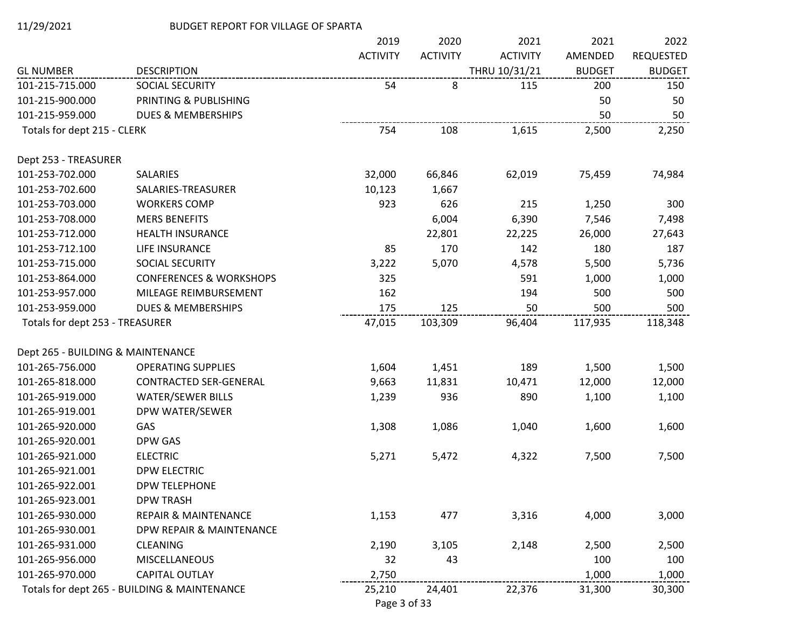|                                   |                                              | 2019            | 2020            | 2021            | 2021          | 2022             |
|-----------------------------------|----------------------------------------------|-----------------|-----------------|-----------------|---------------|------------------|
|                                   |                                              | <b>ACTIVITY</b> | <b>ACTIVITY</b> | <b>ACTIVITY</b> | AMENDED       | <b>REQUESTED</b> |
| <b>GL NUMBER</b>                  | <b>DESCRIPTION</b>                           |                 |                 | THRU 10/31/21   | <b>BUDGET</b> | <b>BUDGET</b>    |
| 101-215-715.000                   | SOCIAL SECURITY                              | 54              | 8               | 115             | 200           | 150              |
| 101-215-900.000                   | PRINTING & PUBLISHING                        |                 |                 |                 | 50            | 50               |
| 101-215-959.000                   | <b>DUES &amp; MEMBERSHIPS</b>                |                 |                 |                 | 50            | 50               |
| Totals for dept 215 - CLERK       |                                              | 754             | 108             | 1,615           | 2,500         | 2,250            |
| Dept 253 - TREASURER              |                                              |                 |                 |                 |               |                  |
| 101-253-702.000                   | <b>SALARIES</b>                              | 32,000          | 66,846          | 62,019          | 75,459        | 74,984           |
| 101-253-702.600                   | SALARIES-TREASURER                           | 10,123          | 1,667           |                 |               |                  |
| 101-253-703.000                   | <b>WORKERS COMP</b>                          | 923             | 626             | 215             | 1,250         | 300              |
| 101-253-708.000                   | <b>MERS BENEFITS</b>                         |                 | 6,004           | 6,390           | 7,546         | 7,498            |
| 101-253-712.000                   | <b>HEALTH INSURANCE</b>                      |                 | 22,801          | 22,225          | 26,000        | 27,643           |
| 101-253-712.100                   | LIFE INSURANCE                               | 85              | 170             | 142             | 180           | 187              |
| 101-253-715.000                   | SOCIAL SECURITY                              | 3,222           | 5,070           | 4,578           | 5,500         | 5,736            |
| 101-253-864.000                   | <b>CONFERENCES &amp; WORKSHOPS</b>           | 325             |                 | 591             | 1,000         | 1,000            |
| 101-253-957.000                   | MILEAGE REIMBURSEMENT                        | 162             |                 | 194             | 500           | 500              |
| 101-253-959.000                   | <b>DUES &amp; MEMBERSHIPS</b>                | 175             | 125             | 50              | 500           | 500              |
| Totals for dept 253 - TREASURER   |                                              | 47,015          | 103,309         | 96,404          | 117,935       | 118,348          |
| Dept 265 - BUILDING & MAINTENANCE |                                              |                 |                 |                 |               |                  |
| 101-265-756.000                   | <b>OPERATING SUPPLIES</b>                    | 1,604           | 1,451           | 189             | 1,500         | 1,500            |
| 101-265-818.000                   | CONTRACTED SER-GENERAL                       | 9,663           | 11,831          | 10,471          | 12,000        | 12,000           |
| 101-265-919.000                   | <b>WATER/SEWER BILLS</b>                     | 1,239           | 936             | 890             | 1,100         | 1,100            |
| 101-265-919.001                   | DPW WATER/SEWER                              |                 |                 |                 |               |                  |
| 101-265-920.000                   | GAS                                          | 1,308           | 1,086           | 1,040           | 1,600         | 1,600            |
| 101-265-920.001                   | DPW GAS                                      |                 |                 |                 |               |                  |
| 101-265-921.000                   | <b>ELECTRIC</b>                              | 5,271           | 5,472           | 4,322           | 7,500         | 7,500            |
| 101-265-921.001                   | <b>DPW ELECTRIC</b>                          |                 |                 |                 |               |                  |
| 101-265-922.001                   | <b>DPW TELEPHONE</b>                         |                 |                 |                 |               |                  |
| 101-265-923.001                   | <b>DPW TRASH</b>                             |                 |                 |                 |               |                  |
| 101-265-930.000                   | <b>REPAIR &amp; MAINTENANCE</b>              | 1,153           | 477             | 3,316           | 4,000         | 3,000            |
| 101-265-930.001                   | DPW REPAIR & MAINTENANCE                     |                 |                 |                 |               |                  |
| 101-265-931.000                   | <b>CLEANING</b>                              | 2,190           | 3,105           | 2,148           | 2,500         | 2,500            |
| 101-265-956.000                   | <b>MISCELLANEOUS</b>                         | 32              | 43              |                 | 100           | 100              |
| 101-265-970.000                   | <b>CAPITAL OUTLAY</b>                        | 2,750           |                 |                 | 1,000         | 1,000            |
|                                   | Totals for dept 265 - BUILDING & MAINTENANCE | 25,210          | 24,401          | 22,376          | 31,300        | 30,300           |

Page 3 of 33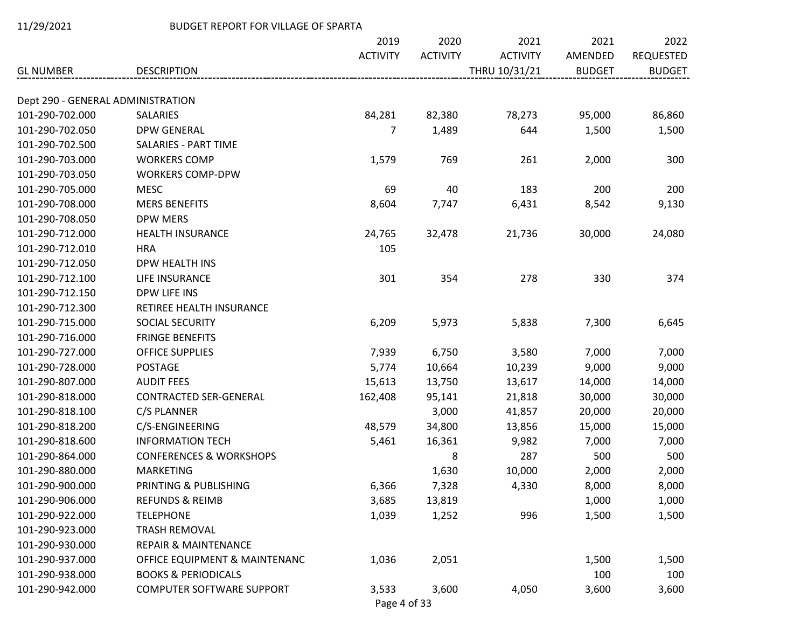|                                   |                                    | 2019            | 2020            | 2021            | 2021          | 2022             |
|-----------------------------------|------------------------------------|-----------------|-----------------|-----------------|---------------|------------------|
|                                   |                                    | <b>ACTIVITY</b> | <b>ACTIVITY</b> | <b>ACTIVITY</b> | AMENDED       | <b>REQUESTED</b> |
| <b>GL NUMBER</b>                  | <b>DESCRIPTION</b>                 |                 |                 | THRU 10/31/21   | <b>BUDGET</b> | <b>BUDGET</b>    |
| Dept 290 - GENERAL ADMINISTRATION |                                    |                 |                 |                 |               |                  |
| 101-290-702.000                   | <b>SALARIES</b>                    | 84,281          | 82,380          | 78,273          | 95,000        | 86,860           |
| 101-290-702.050                   | <b>DPW GENERAL</b>                 | 7               | 1,489           | 644             | 1,500         | 1,500            |
| 101-290-702.500                   | <b>SALARIES - PART TIME</b>        |                 |                 |                 |               |                  |
| 101-290-703.000                   | <b>WORKERS COMP</b>                | 1,579           | 769             | 261             | 2,000         | 300              |
| 101-290-703.050                   | <b>WORKERS COMP-DPW</b>            |                 |                 |                 |               |                  |
| 101-290-705.000                   | <b>MESC</b>                        | 69              | 40              | 183             | 200           | 200              |
| 101-290-708.000                   | <b>MERS BENEFITS</b>               | 8,604           | 7,747           | 6,431           | 8,542         | 9,130            |
| 101-290-708.050                   | <b>DPW MERS</b>                    |                 |                 |                 |               |                  |
| 101-290-712.000                   | <b>HEALTH INSURANCE</b>            | 24,765          | 32,478          | 21,736          | 30,000        | 24,080           |
| 101-290-712.010                   | <b>HRA</b>                         | 105             |                 |                 |               |                  |
| 101-290-712.050                   | DPW HEALTH INS                     |                 |                 |                 |               |                  |
| 101-290-712.100                   | LIFE INSURANCE                     | 301             | 354             | 278             | 330           | 374              |
| 101-290-712.150                   | DPW LIFE INS                       |                 |                 |                 |               |                  |
| 101-290-712.300                   | RETIREE HEALTH INSURANCE           |                 |                 |                 |               |                  |
| 101-290-715.000                   | SOCIAL SECURITY                    | 6,209           | 5,973           | 5,838           | 7,300         | 6,645            |
| 101-290-716.000                   | <b>FRINGE BENEFITS</b>             |                 |                 |                 |               |                  |
| 101-290-727.000                   | <b>OFFICE SUPPLIES</b>             | 7,939           | 6,750           | 3,580           | 7,000         | 7,000            |
| 101-290-728.000                   | <b>POSTAGE</b>                     | 5,774           | 10,664          | 10,239          | 9,000         | 9,000            |
| 101-290-807.000                   | <b>AUDIT FEES</b>                  | 15,613          | 13,750          | 13,617          | 14,000        | 14,000           |
| 101-290-818.000                   | <b>CONTRACTED SER-GENERAL</b>      | 162,408         | 95,141          | 21,818          | 30,000        | 30,000           |
| 101-290-818.100                   | C/S PLANNER                        |                 | 3,000           | 41,857          | 20,000        | 20,000           |
| 101-290-818.200                   | C/S-ENGINEERING                    | 48,579          | 34,800          | 13,856          | 15,000        | 15,000           |
| 101-290-818.600                   | <b>INFORMATION TECH</b>            | 5,461           | 16,361          | 9,982           | 7,000         | 7,000            |
| 101-290-864.000                   | <b>CONFERENCES &amp; WORKSHOPS</b> |                 | 8               | 287             | 500           | 500              |
| 101-290-880.000                   | <b>MARKETING</b>                   |                 | 1,630           | 10,000          | 2,000         | 2,000            |
| 101-290-900.000                   | PRINTING & PUBLISHING              | 6,366           | 7,328           | 4,330           | 8,000         | 8,000            |
| 101-290-906.000                   | <b>REFUNDS &amp; REIMB</b>         | 3,685           | 13,819          |                 | 1,000         | 1,000            |
| 101-290-922.000                   | <b>TELEPHONE</b>                   | 1,039           | 1,252           | 996             | 1,500         | 1,500            |
| 101-290-923.000                   | <b>TRASH REMOVAL</b>               |                 |                 |                 |               |                  |
| 101-290-930.000                   | <b>REPAIR &amp; MAINTENANCE</b>    |                 |                 |                 |               |                  |
| 101-290-937.000                   | OFFICE EQUIPMENT & MAINTENANC      | 1,036           | 2,051           |                 | 1,500         | 1,500            |
| 101-290-938.000                   | <b>BOOKS &amp; PERIODICALS</b>     |                 |                 |                 | 100           | 100              |
| 101-290-942.000                   | <b>COMPUTER SOFTWARE SUPPORT</b>   | 3,533           | 3,600           | 4,050           | 3,600         | 3,600            |

Page 4 of 33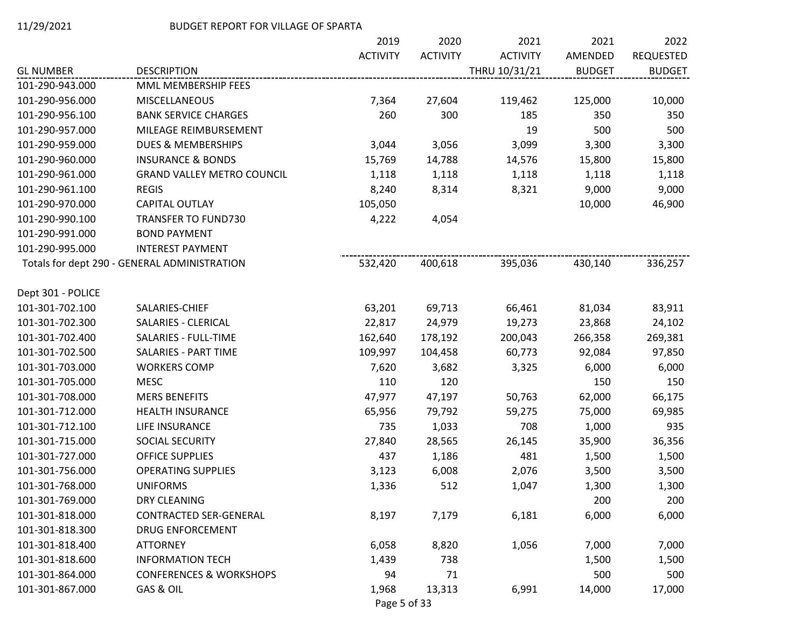|                   |                                              | 2019            | 2020            | 2021            | 2021          | 2022             |
|-------------------|----------------------------------------------|-----------------|-----------------|-----------------|---------------|------------------|
|                   |                                              | <b>ACTIVITY</b> | <b>ACTIVITY</b> | <b>ACTIVITY</b> | AMENDED       | <b>REQUESTED</b> |
| <b>GL NUMBER</b>  | <b>DESCRIPTION</b>                           |                 |                 | THRU 10/31/21   | <b>BUDGET</b> | <b>BUDGET</b>    |
| 101-290-943.000   | MML MEMBERSHIP FEES                          |                 |                 |                 |               |                  |
| 101-290-956.000   | MISCELLANEOUS                                | 7,364           | 27,604          | 119,462         | 125,000       | 10,000           |
| 101-290-956.100   | <b>BANK SERVICE CHARGES</b>                  | 260             | 300             | 185             | 350           | 350              |
| 101-290-957.000   | MILEAGE REIMBURSEMENT                        |                 |                 | 19              | 500           | 500              |
| 101-290-959.000   | <b>DUES &amp; MEMBERSHIPS</b>                | 3,044           | 3,056           | 3,099           | 3,300         | 3,300            |
| 101-290-960.000   | <b>INSURANCE &amp; BONDS</b>                 | 15,769          | 14,788          | 14,576          | 15,800        | 15,800           |
| 101-290-961.000   | <b>GRAND VALLEY METRO COUNCIL</b>            | 1,118           | 1,118           | 1,118           | 1,118         | 1,118            |
| 101-290-961.100   | <b>REGIS</b>                                 | 8,240           | 8,314           | 8,321           | 9,000         | 9,000            |
| 101-290-970.000   | CAPITAL OUTLAY                               | 105,050         |                 |                 | 10,000        | 46,900           |
| 101-290-990.100   | <b>TRANSFER TO FUND730</b>                   | 4,222           | 4,054           |                 |               |                  |
| 101-290-991.000   | <b>BOND PAYMENT</b>                          |                 |                 |                 |               |                  |
| 101-290-995.000   | <b>INTEREST PAYMENT</b>                      |                 |                 |                 |               |                  |
|                   | Totals for dept 290 - GENERAL ADMINISTRATION | 532,420         | 400,618         | 395,036         | 430,140       | 336,257          |
| Dept 301 - POLICE |                                              |                 |                 |                 |               |                  |
| 101-301-702.100   | SALARIES-CHIEF                               | 63,201          | 69,713          | 66,461          | 81,034        | 83,911           |
| 101-301-702.300   | SALARIES - CLERICAL                          | 22,817          | 24,979          | 19,273          | 23,868        | 24,102           |
| 101-301-702.400   | SALARIES - FULL-TIME                         | 162,640         | 178,192         | 200,043         | 266,358       | 269,381          |
| 101-301-702.500   | <b>SALARIES - PART TIME</b>                  | 109,997         | 104,458         | 60,773          | 92,084        | 97,850           |
| 101-301-703.000   | <b>WORKERS COMP</b>                          | 7,620           | 3,682           | 3,325           | 6,000         | 6,000            |
| 101-301-705.000   | <b>MESC</b>                                  | 110             | 120             |                 | 150           | 150              |
| 101-301-708.000   | <b>MERS BENEFITS</b>                         | 47,977          | 47,197          | 50,763          | 62,000        | 66,175           |
| 101-301-712.000   | HEALTH INSURANCE                             | 65,956          | 79,792          | 59,275          | 75,000        | 69,985           |
| 101-301-712.100   | LIFE INSURANCE                               | 735             | 1,033           | 708             | 1,000         | 935              |
| 101-301-715.000   | SOCIAL SECURITY                              | 27,840          | 28,565          | 26,145          | 35,900        | 36,356           |
| 101-301-727.000   | <b>OFFICE SUPPLIES</b>                       | 437             | 1,186           | 481             | 1,500         | 1,500            |
| 101-301-756.000   | <b>OPERATING SUPPLIES</b>                    | 3,123           | 6,008           | 2,076           | 3,500         | 3,500            |
| 101-301-768.000   | <b>UNIFORMS</b>                              | 1,336           | 512             | 1,047           | 1,300         | 1,300            |
| 101-301-769.000   | DRY CLEANING                                 |                 |                 |                 | 200           | 200              |
| 101-301-818.000   | <b>CONTRACTED SER-GENERAL</b>                | 8,197           | 7,179           | 6,181           | 6,000         | 6,000            |
| 101-301-818.300   | <b>DRUG ENFORCEMENT</b>                      |                 |                 |                 |               |                  |
| 101-301-818.400   | <b>ATTORNEY</b>                              | 6,058           | 8,820           | 1,056           | 7,000         | 7,000            |
| 101-301-818.600   | <b>INFORMATION TECH</b>                      | 1,439           | 738             |                 | 1,500         | 1,500            |
| 101-301-864.000   | <b>CONFERENCES &amp; WORKSHOPS</b>           | 94              | 71              |                 | 500           | 500              |
| 101-301-867.000   | GAS & OIL                                    | 1,968           | 13,313          | 6,991           | 14,000        | 17,000           |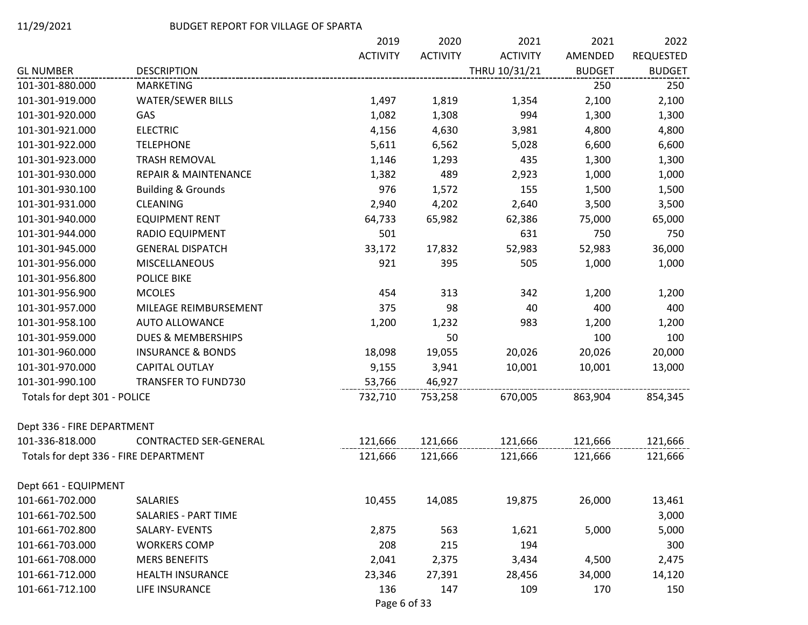|                                       |                                 | 2019            | 2020            | 2021            | 2021          | 2022             |
|---------------------------------------|---------------------------------|-----------------|-----------------|-----------------|---------------|------------------|
|                                       |                                 | <b>ACTIVITY</b> | <b>ACTIVITY</b> | <b>ACTIVITY</b> | AMENDED       | <b>REQUESTED</b> |
| <b>GL NUMBER</b>                      | <b>DESCRIPTION</b>              |                 |                 | THRU 10/31/21   | <b>BUDGET</b> | <b>BUDGET</b>    |
| 101-301-880.000                       | <b>MARKETING</b>                |                 |                 |                 | 250           | 250              |
| 101-301-919.000                       | <b>WATER/SEWER BILLS</b>        | 1,497           | 1,819           | 1,354           | 2,100         | 2,100            |
| 101-301-920.000                       | GAS                             | 1,082           | 1,308           | 994             | 1,300         | 1,300            |
| 101-301-921.000                       | <b>ELECTRIC</b>                 | 4,156           | 4,630           | 3,981           | 4,800         | 4,800            |
| 101-301-922.000                       | <b>TELEPHONE</b>                | 5,611           | 6,562           | 5,028           | 6,600         | 6,600            |
| 101-301-923.000                       | <b>TRASH REMOVAL</b>            | 1,146           | 1,293           | 435             | 1,300         | 1,300            |
| 101-301-930.000                       | <b>REPAIR &amp; MAINTENANCE</b> | 1,382           | 489             | 2,923           | 1,000         | 1,000            |
| 101-301-930.100                       | <b>Building &amp; Grounds</b>   | 976             | 1,572           | 155             | 1,500         | 1,500            |
| 101-301-931.000                       | <b>CLEANING</b>                 | 2,940           | 4,202           | 2,640           | 3,500         | 3,500            |
| 101-301-940.000                       | <b>EQUIPMENT RENT</b>           | 64,733          | 65,982          | 62,386          | 75,000        | 65,000           |
| 101-301-944.000                       | <b>RADIO EQUIPMENT</b>          | 501             |                 | 631             | 750           | 750              |
| 101-301-945.000                       | <b>GENERAL DISPATCH</b>         | 33,172          | 17,832          | 52,983          | 52,983        | 36,000           |
| 101-301-956.000                       | <b>MISCELLANEOUS</b>            | 921             | 395             | 505             | 1,000         | 1,000            |
| 101-301-956.800                       | <b>POLICE BIKE</b>              |                 |                 |                 |               |                  |
| 101-301-956.900                       | <b>MCOLES</b>                   | 454             | 313             | 342             | 1,200         | 1,200            |
| 101-301-957.000                       | MILEAGE REIMBURSEMENT           | 375             | 98              | 40              | 400           | 400              |
| 101-301-958.100                       | <b>AUTO ALLOWANCE</b>           | 1,200           | 1,232           | 983             | 1,200         | 1,200            |
| 101-301-959.000                       | <b>DUES &amp; MEMBERSHIPS</b>   |                 | 50              |                 | 100           | 100              |
| 101-301-960.000                       | <b>INSURANCE &amp; BONDS</b>    | 18,098          | 19,055          | 20,026          | 20,026        | 20,000           |
| 101-301-970.000                       | CAPITAL OUTLAY                  | 9,155           | 3,941           | 10,001          | 10,001        | 13,000           |
| 101-301-990.100                       | <b>TRANSFER TO FUND730</b>      | 53,766          | 46,927          |                 |               |                  |
| Totals for dept 301 - POLICE          |                                 | 732,710         | 753,258         | 670,005         | 863,904       | 854,345          |
| Dept 336 - FIRE DEPARTMENT            |                                 |                 |                 |                 |               |                  |
| 101-336-818.000                       | <b>CONTRACTED SER-GENERAL</b>   | 121,666         | 121,666         | 121,666         | 121,666       | 121,666          |
| Totals for dept 336 - FIRE DEPARTMENT |                                 | 121,666         | 121,666         | 121,666         | 121,666       | 121,666          |
| Dept 661 - EQUIPMENT                  |                                 |                 |                 |                 |               |                  |
| 101-661-702.000                       | SALARIES                        | 10,455          | 14,085          | 19,875          | 26,000        | 13,461           |
| 101-661-702.500                       | <b>SALARIES - PART TIME</b>     |                 |                 |                 |               | 3,000            |
| 101-661-702.800                       | SALARY- EVENTS                  | 2,875           | 563             | 1,621           | 5,000         | 5,000            |
| 101-661-703.000                       | <b>WORKERS COMP</b>             | 208             | 215             | 194             |               | 300              |
| 101-661-708.000                       | <b>MERS BENEFITS</b>            | 2,041           | 2,375           | 3,434           | 4,500         | 2,475            |
| 101-661-712.000                       | <b>HEALTH INSURANCE</b>         | 23,346          | 27,391          | 28,456          | 34,000        | 14,120           |
| 101-661-712.100                       | LIFE INSURANCE                  | 136             | 147             | 109             | 170           | 150              |
|                                       |                                 |                 |                 |                 |               |                  |

Page 6 of 33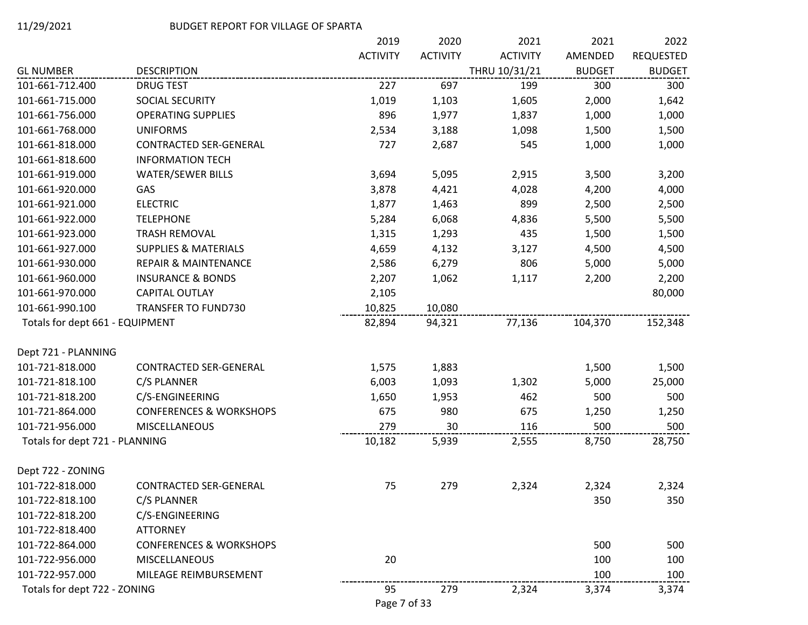|                                 |                                    | 2019            | 2020            | 2021            | 2021          | 2022             |
|---------------------------------|------------------------------------|-----------------|-----------------|-----------------|---------------|------------------|
|                                 |                                    | <b>ACTIVITY</b> | <b>ACTIVITY</b> | <b>ACTIVITY</b> | AMENDED       | <b>REQUESTED</b> |
| <b>GL NUMBER</b>                | <b>DESCRIPTION</b>                 |                 |                 | THRU 10/31/21   | <b>BUDGET</b> | <b>BUDGET</b>    |
| 101-661-712.400                 | <b>DRUG TEST</b>                   | 227             | 697             | 199             | 300           | 300              |
| 101-661-715.000                 | SOCIAL SECURITY                    | 1,019           | 1,103           | 1,605           | 2,000         | 1,642            |
| 101-661-756.000                 | <b>OPERATING SUPPLIES</b>          | 896             | 1,977           | 1,837           | 1,000         | 1,000            |
| 101-661-768.000                 | <b>UNIFORMS</b>                    | 2,534           | 3,188           | 1,098           | 1,500         | 1,500            |
| 101-661-818.000                 | CONTRACTED SER-GENERAL             | 727             | 2,687           | 545             | 1,000         | 1,000            |
| 101-661-818.600                 | <b>INFORMATION TECH</b>            |                 |                 |                 |               |                  |
| 101-661-919.000                 | <b>WATER/SEWER BILLS</b>           | 3,694           | 5,095           | 2,915           | 3,500         | 3,200            |
| 101-661-920.000                 | GAS                                | 3,878           | 4,421           | 4,028           | 4,200         | 4,000            |
| 101-661-921.000                 | <b>ELECTRIC</b>                    | 1,877           | 1,463           | 899             | 2,500         | 2,500            |
| 101-661-922.000                 | <b>TELEPHONE</b>                   | 5,284           | 6,068           | 4,836           | 5,500         | 5,500            |
| 101-661-923.000                 | <b>TRASH REMOVAL</b>               | 1,315           | 1,293           | 435             | 1,500         | 1,500            |
| 101-661-927.000                 | <b>SUPPLIES &amp; MATERIALS</b>    | 4,659           | 4,132           | 3,127           | 4,500         | 4,500            |
| 101-661-930.000                 | <b>REPAIR &amp; MAINTENANCE</b>    | 2,586           | 6,279           | 806             | 5,000         | 5,000            |
| 101-661-960.000                 | <b>INSURANCE &amp; BONDS</b>       | 2,207           | 1,062           | 1,117           | 2,200         | 2,200            |
| 101-661-970.000                 | CAPITAL OUTLAY                     | 2,105           |                 |                 |               | 80,000           |
| 101-661-990.100                 | <b>TRANSFER TO FUND730</b>         | 10,825          | 10,080          |                 |               |                  |
| Totals for dept 661 - EQUIPMENT |                                    | 82,894          | 94,321          | 77,136          | 104,370       | 152,348          |
| Dept 721 - PLANNING             |                                    |                 |                 |                 |               |                  |
| 101-721-818.000                 | CONTRACTED SER-GENERAL             | 1,575           | 1,883           |                 | 1,500         | 1,500            |
| 101-721-818.100                 | C/S PLANNER                        | 6,003           | 1,093           | 1,302           | 5,000         | 25,000           |
| 101-721-818.200                 | C/S-ENGINEERING                    | 1,650           | 1,953           | 462             | 500           | 500              |
| 101-721-864.000                 | <b>CONFERENCES &amp; WORKSHOPS</b> | 675             | 980             | 675             | 1,250         | 1,250            |
| 101-721-956.000                 | <b>MISCELLANEOUS</b>               | 279             | 30              | 116             | 500           | 500              |
| Totals for dept 721 - PLANNING  |                                    | 10,182          | 5,939           | 2,555           | 8,750         | 28,750           |
| Dept 722 - ZONING               |                                    |                 |                 |                 |               |                  |
| 101-722-818.000                 | CONTRACTED SER-GENERAL             | 75              | 279             | 2,324           | 2,324         | 2,324            |
| 101-722-818.100                 | C/S PLANNER                        |                 |                 |                 | 350           | 350              |
| 101-722-818.200                 | C/S-ENGINEERING                    |                 |                 |                 |               |                  |
| 101-722-818.400                 | <b>ATTORNEY</b>                    |                 |                 |                 |               |                  |
| 101-722-864.000                 | <b>CONFERENCES &amp; WORKSHOPS</b> |                 |                 |                 | 500           | 500              |
| 101-722-956.000                 | MISCELLANEOUS                      | 20              |                 |                 | 100           | 100              |
| 101-722-957.000                 | MILEAGE REIMBURSEMENT              |                 |                 |                 | 100           | 100              |
| Totals for dept 722 - ZONING    |                                    | 95              | 279             | 2,324           | 3,374         | 3,374            |

Page 7 of 33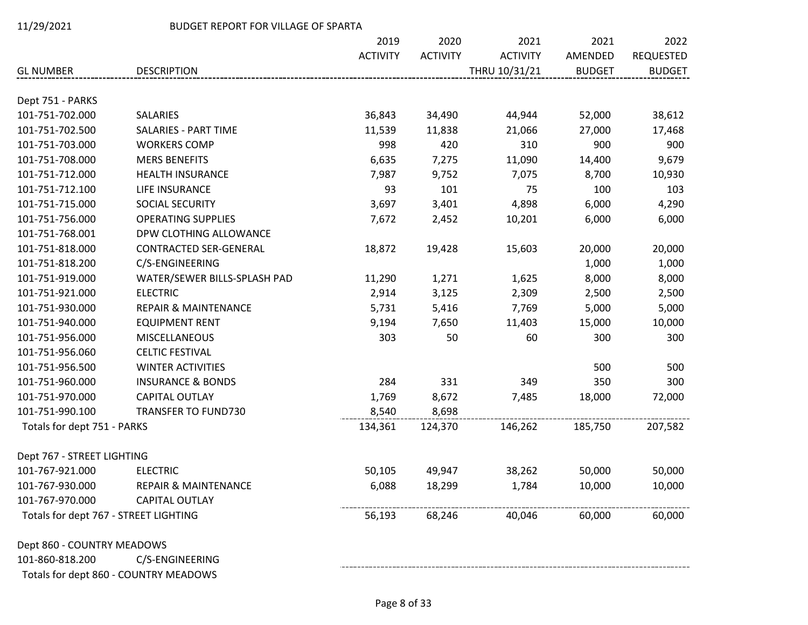|                                       |                                       | 2019            | 2020            | 2021            | 2021          | 2022             |
|---------------------------------------|---------------------------------------|-----------------|-----------------|-----------------|---------------|------------------|
|                                       |                                       | <b>ACTIVITY</b> | <b>ACTIVITY</b> | <b>ACTIVITY</b> | AMENDED       | <b>REQUESTED</b> |
| <b>GL NUMBER</b>                      | <b>DESCRIPTION</b>                    |                 |                 | THRU 10/31/21   | <b>BUDGET</b> | <b>BUDGET</b>    |
| Dept 751 - PARKS                      |                                       |                 |                 |                 |               |                  |
| 101-751-702.000                       | <b>SALARIES</b>                       | 36,843          | 34,490          | 44,944          | 52,000        | 38,612           |
| 101-751-702.500                       | SALARIES - PART TIME                  | 11,539          | 11,838          | 21,066          | 27,000        | 17,468           |
| 101-751-703.000                       | <b>WORKERS COMP</b>                   | 998             | 420             | 310             | 900           | 900              |
| 101-751-708.000                       | <b>MERS BENEFITS</b>                  | 6,635           | 7,275           | 11,090          | 14,400        | 9,679            |
| 101-751-712.000                       | <b>HEALTH INSURANCE</b>               | 7,987           | 9,752           | 7,075           | 8,700         | 10,930           |
| 101-751-712.100                       | LIFE INSURANCE                        | 93              | 101             | 75              | 100           | 103              |
| 101-751-715.000                       | SOCIAL SECURITY                       | 3,697           | 3,401           | 4,898           | 6,000         | 4,290            |
| 101-751-756.000                       | <b>OPERATING SUPPLIES</b>             | 7,672           | 2,452           | 10,201          | 6,000         | 6,000            |
| 101-751-768.001                       | DPW CLOTHING ALLOWANCE                |                 |                 |                 |               |                  |
| 101-751-818.000                       | <b>CONTRACTED SER-GENERAL</b>         | 18,872          | 19,428          | 15,603          | 20,000        | 20,000           |
| 101-751-818.200                       | C/S-ENGINEERING                       |                 |                 |                 | 1,000         | 1,000            |
| 101-751-919.000                       | WATER/SEWER BILLS-SPLASH PAD          | 11,290          | 1,271           | 1,625           | 8,000         | 8,000            |
| 101-751-921.000                       | <b>ELECTRIC</b>                       | 2,914           | 3,125           | 2,309           | 2,500         | 2,500            |
| 101-751-930.000                       | <b>REPAIR &amp; MAINTENANCE</b>       | 5,731           | 5,416           | 7,769           | 5,000         | 5,000            |
| 101-751-940.000                       | <b>EQUIPMENT RENT</b>                 | 9,194           | 7,650           | 11,403          | 15,000        | 10,000           |
| 101-751-956.000                       | <b>MISCELLANEOUS</b>                  | 303             | 50              | 60              | 300           | 300              |
| 101-751-956.060                       | <b>CELTIC FESTIVAL</b>                |                 |                 |                 |               |                  |
| 101-751-956.500                       | <b>WINTER ACTIVITIES</b>              |                 |                 |                 | 500           | 500              |
| 101-751-960.000                       | <b>INSURANCE &amp; BONDS</b>          | 284             | 331             | 349             | 350           | 300              |
| 101-751-970.000                       | CAPITAL OUTLAY                        | 1,769           | 8,672           | 7,485           | 18,000        | 72,000           |
| 101-751-990.100                       | <b>TRANSFER TO FUND730</b>            | 8,540           | 8,698           |                 |               |                  |
| Totals for dept 751 - PARKS           |                                       | 134,361         | 124,370         | 146,262         | 185,750       | 207,582          |
| Dept 767 - STREET LIGHTING            |                                       |                 |                 |                 |               |                  |
| 101-767-921.000                       | <b>ELECTRIC</b>                       | 50,105          | 49,947          | 38,262          | 50,000        | 50,000           |
| 101-767-930.000                       | <b>REPAIR &amp; MAINTENANCE</b>       | 6,088           | 18,299          | 1,784           | 10,000        | 10,000           |
| 101-767-970.000                       | <b>CAPITAL OUTLAY</b>                 |                 |                 |                 |               |                  |
| Totals for dept 767 - STREET LIGHTING |                                       | 56,193          | 68,246          | 40,046          | 60,000        | 60,000           |
| Dept 860 - COUNTRY MEADOWS            |                                       |                 |                 |                 |               |                  |
| 101-860-818.200                       | C/S-ENGINEERING                       |                 |                 |                 |               |                  |
|                                       | Totals for dept 860 - COUNTRY MEADOWS |                 |                 |                 |               |                  |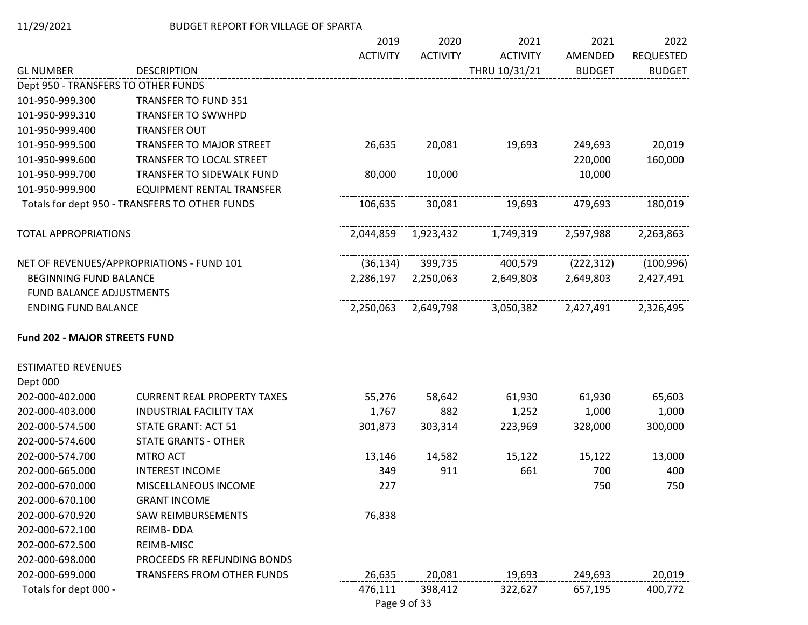|                                      |                                                | 2019            | 2020            | 2021            | 2021          | 2022             |
|--------------------------------------|------------------------------------------------|-----------------|-----------------|-----------------|---------------|------------------|
|                                      |                                                | <b>ACTIVITY</b> | <b>ACTIVITY</b> | <b>ACTIVITY</b> | AMENDED       | <b>REQUESTED</b> |
| <b>GL NUMBER</b>                     | <b>DESCRIPTION</b>                             |                 |                 | THRU 10/31/21   | <b>BUDGET</b> | <b>BUDGET</b>    |
| Dept 950 - TRANSFERS TO OTHER FUNDS  |                                                |                 |                 |                 |               |                  |
| 101-950-999.300                      | <b>TRANSFER TO FUND 351</b>                    |                 |                 |                 |               |                  |
| 101-950-999.310                      | <b>TRANSFER TO SWWHPD</b>                      |                 |                 |                 |               |                  |
| 101-950-999.400                      | <b>TRANSFER OUT</b>                            |                 |                 |                 |               |                  |
| 101-950-999.500                      | <b>TRANSFER TO MAJOR STREET</b>                | 26,635          | 20,081          | 19,693          | 249,693       | 20,019           |
| 101-950-999.600                      | TRANSFER TO LOCAL STREET                       |                 |                 |                 | 220,000       | 160,000          |
| 101-950-999.700                      | TRANSFER TO SIDEWALK FUND                      | 80,000          | 10,000          |                 | 10,000        |                  |
| 101-950-999.900                      | EQUIPMENT RENTAL TRANSFER                      |                 |                 |                 |               |                  |
|                                      | Totals for dept 950 - TRANSFERS TO OTHER FUNDS | 106,635         | 30,081          | 19,693          | 479,693       | 180,019          |
| <b>TOTAL APPROPRIATIONS</b>          |                                                | 2,044,859       | 1,923,432       | 1,749,319       | 2,597,988     | 2,263,863        |
|                                      | NET OF REVENUES/APPROPRIATIONS - FUND 101      | (36, 134)       | 399,735         | 400,579         | (222, 312)    | (100, 996)       |
| BEGINNING FUND BALANCE               |                                                | 2,286,197       | 2,250,063       | 2,649,803       | 2,649,803     | 2,427,491        |
| FUND BALANCE ADJUSTMENTS             |                                                |                 |                 |                 |               |                  |
| <b>ENDING FUND BALANCE</b>           |                                                | 2,250,063       | 2,649,798       | 3,050,382       | 2,427,491     | 2,326,495        |
| <b>Fund 202 - MAJOR STREETS FUND</b> |                                                |                 |                 |                 |               |                  |
| <b>ESTIMATED REVENUES</b>            |                                                |                 |                 |                 |               |                  |
| Dept 000                             |                                                |                 |                 |                 |               |                  |
| 202-000-402.000                      | <b>CURRENT REAL PROPERTY TAXES</b>             | 55,276          | 58,642          | 61,930          | 61,930        | 65,603           |
| 202-000-403.000                      | <b>INDUSTRIAL FACILITY TAX</b>                 | 1,767           | 882             | 1,252           | 1,000         | 1,000            |
| 202-000-574.500                      | <b>STATE GRANT: ACT 51</b>                     | 301,873         | 303,314         | 223,969         | 328,000       | 300,000          |
| 202-000-574.600                      | <b>STATE GRANTS - OTHER</b>                    |                 |                 |                 |               |                  |
| 202-000-574.700                      | MTRO ACT                                       | 13,146          | 14,582          | 15,122          | 15,122        | 13,000           |
| 202-000-665.000                      | <b>INTEREST INCOME</b>                         | 349             | 911             | 661             | 700           | 400              |
| 202-000-670.000                      | MISCELLANEOUS INCOME                           | 227             |                 |                 | 750           | 750              |
| 202-000-670.100                      | <b>GRANT INCOME</b>                            |                 |                 |                 |               |                  |
| 202-000-670.920                      | SAW REIMBURSEMENTS                             | 76,838          |                 |                 |               |                  |
| 202-000-672.100                      | <b>REIMB-DDA</b>                               |                 |                 |                 |               |                  |
| 202-000-672.500                      | REIMB-MISC                                     |                 |                 |                 |               |                  |
| 202-000-698.000                      | PROCEEDS FR REFUNDING BONDS                    |                 |                 |                 |               |                  |
| 202-000-699.000                      | TRANSFERS FROM OTHER FUNDS                     | 26,635          | 20,081          | 19,693          | 249,693       | 20,019           |
| Totals for dept 000 -                |                                                | 476,111         | 398,412         | 322,627         | 657,195       | 400,772          |

Page 9 of 33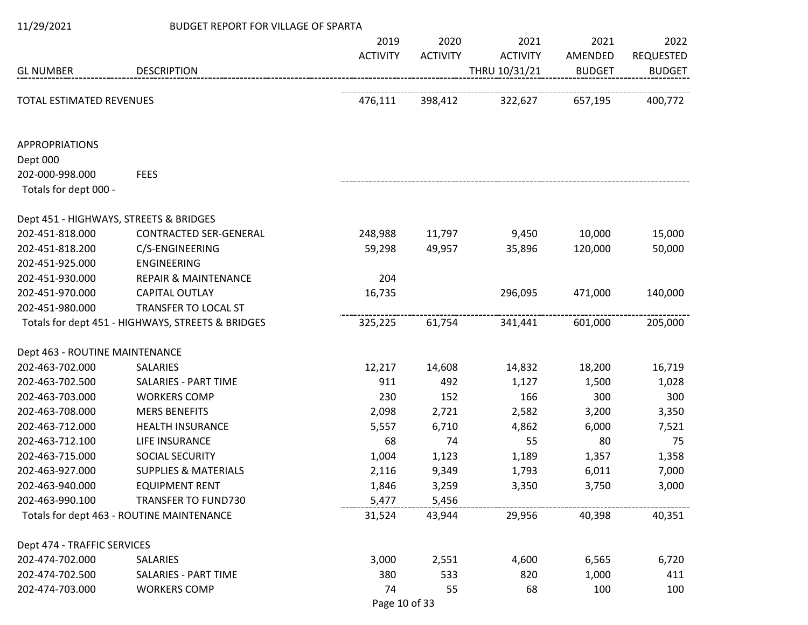| 11/29/2021                             | BUDGET REPORT FOR VILLAGE OF SPARTA               |                 |                 |                 |               |                  |
|----------------------------------------|---------------------------------------------------|-----------------|-----------------|-----------------|---------------|------------------|
|                                        |                                                   | 2019            | 2020            | 2021            | 2021          | 2022             |
|                                        |                                                   | <b>ACTIVITY</b> | <b>ACTIVITY</b> | <b>ACTIVITY</b> | AMENDED       | <b>REQUESTED</b> |
| <b>GL NUMBER</b>                       | <b>DESCRIPTION</b>                                |                 |                 | THRU 10/31/21   | <b>BUDGET</b> | <b>BUDGET</b>    |
|                                        |                                                   |                 |                 |                 |               |                  |
| TOTAL ESTIMATED REVENUES               |                                                   | 476,111         | 398,412         | 322,627         | 657,195       | 400,772          |
|                                        |                                                   |                 |                 |                 |               |                  |
| <b>APPROPRIATIONS</b>                  |                                                   |                 |                 |                 |               |                  |
| Dept 000                               |                                                   |                 |                 |                 |               |                  |
| 202-000-998.000                        | <b>FEES</b>                                       |                 |                 |                 |               |                  |
| Totals for dept 000 -                  |                                                   |                 |                 |                 |               |                  |
| Dept 451 - HIGHWAYS, STREETS & BRIDGES |                                                   |                 |                 |                 |               |                  |
| 202-451-818.000                        | <b>CONTRACTED SER-GENERAL</b>                     | 248,988         | 11,797          | 9,450           | 10,000        | 15,000           |
| 202-451-818.200                        | C/S-ENGINEERING                                   | 59,298          | 49,957          | 35,896          | 120,000       | 50,000           |
| 202-451-925.000                        | <b>ENGINEERING</b>                                |                 |                 |                 |               |                  |
| 202-451-930.000                        | <b>REPAIR &amp; MAINTENANCE</b>                   | 204             |                 |                 |               |                  |
| 202-451-970.000                        | <b>CAPITAL OUTLAY</b>                             | 16,735          |                 | 296,095         | 471,000       | 140,000          |
| 202-451-980.000                        | TRANSFER TO LOCAL ST                              |                 |                 |                 |               |                  |
|                                        | Totals for dept 451 - HIGHWAYS, STREETS & BRIDGES | 325,225         | 61,754          | 341,441         | 601,000       | 205,000          |
| Dept 463 - ROUTINE MAINTENANCE         |                                                   |                 |                 |                 |               |                  |
| 202-463-702.000                        | SALARIES                                          | 12,217          | 14,608          | 14,832          | 18,200        | 16,719           |
| 202-463-702.500                        | <b>SALARIES - PART TIME</b>                       | 911             | 492             | 1,127           | 1,500         | 1,028            |
| 202-463-703.000                        | <b>WORKERS COMP</b>                               | 230             | 152             | 166             | 300           | 300              |
| 202-463-708.000                        | <b>MERS BENEFITS</b>                              | 2,098           | 2,721           | 2,582           | 3,200         | 3,350            |
| 202-463-712.000                        | <b>HEALTH INSURANCE</b>                           | 5,557           | 6,710           | 4,862           | 6,000         | 7,521            |
| 202-463-712.100                        | LIFE INSURANCE                                    | 68              | 74              | 55              | 80            | 75               |
| 202-463-715.000                        | SOCIAL SECURITY                                   | 1,004           | 1,123           | 1,189           | 1,357         | 1,358            |
| 202-463-927.000                        | <b>SUPPLIES &amp; MATERIALS</b>                   | 2,116           | 9,349           | 1,793           | 6,011         | 7,000            |
| 202-463-940.000                        | <b>EQUIPMENT RENT</b>                             | 1,846           | 3,259           | 3,350           | 3,750         | 3,000            |
| 202-463-990.100                        | <b>TRANSFER TO FUND730</b>                        | 5,477           | 5,456           |                 |               |                  |
|                                        | Totals for dept 463 - ROUTINE MAINTENANCE         | 31,524          | 43,944          | 29,956          | 40,398        | 40,351           |
| Dept 474 - TRAFFIC SERVICES            |                                                   |                 |                 |                 |               |                  |
| 202-474-702.000                        | SALARIES                                          | 3,000           | 2,551           | 4,600           | 6,565         | 6,720            |
| 202-474-702.500                        | SALARIES - PART TIME                              | 380             | 533             | 820             | 1,000         | 411              |
| 202-474-703.000                        | <b>WORKERS COMP</b>                               | 74              | 55              | 68              | 100           | 100              |
|                                        |                                                   | Page 10 of 33   |                 |                 |               |                  |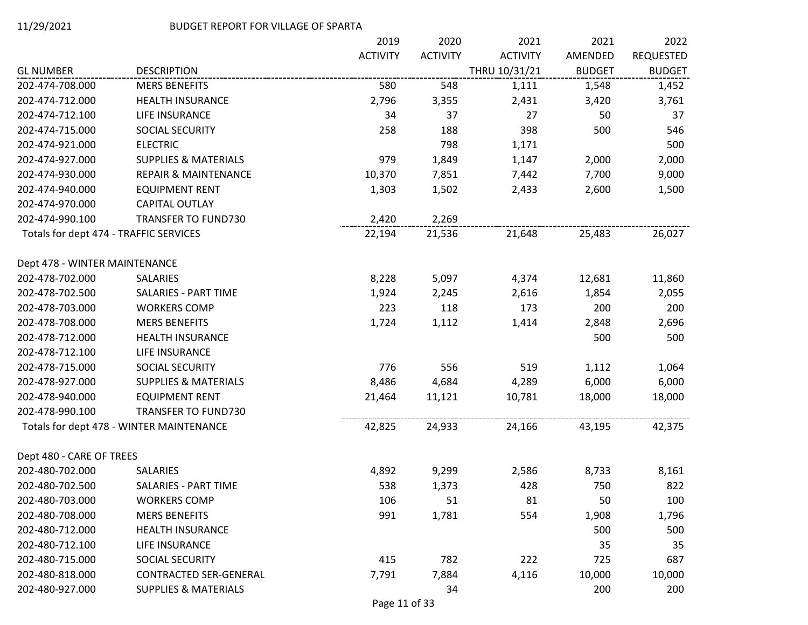|                                        |                                          | 2019            | 2020            | 2021            | 2021          | 2022             |
|----------------------------------------|------------------------------------------|-----------------|-----------------|-----------------|---------------|------------------|
|                                        |                                          | <b>ACTIVITY</b> | <b>ACTIVITY</b> | <b>ACTIVITY</b> | AMENDED       | <b>REQUESTED</b> |
| <b>GL NUMBER</b>                       | <b>DESCRIPTION</b>                       |                 |                 | THRU 10/31/21   | <b>BUDGET</b> | <b>BUDGET</b>    |
| 202-474-708.000                        | <b>MERS BENEFITS</b>                     | 580             | 548             | 1,111           | 1,548         | 1,452            |
| 202-474-712.000                        | HEALTH INSURANCE                         | 2,796           | 3,355           | 2,431           | 3,420         | 3,761            |
| 202-474-712.100                        | LIFE INSURANCE                           | 34              | 37              | 27              | 50            | 37               |
| 202-474-715.000                        | SOCIAL SECURITY                          | 258             | 188             | 398             | 500           | 546              |
| 202-474-921.000                        | <b>ELECTRIC</b>                          |                 | 798             | 1,171           |               | 500              |
| 202-474-927.000                        | <b>SUPPLIES &amp; MATERIALS</b>          | 979             | 1,849           | 1,147           | 2,000         | 2,000            |
| 202-474-930.000                        | <b>REPAIR &amp; MAINTENANCE</b>          | 10,370          | 7,851           | 7,442           | 7,700         | 9,000            |
| 202-474-940.000                        | <b>EQUIPMENT RENT</b>                    | 1,303           | 1,502           | 2,433           | 2,600         | 1,500            |
| 202-474-970.000                        | CAPITAL OUTLAY                           |                 |                 |                 |               |                  |
| 202-474-990.100                        | <b>TRANSFER TO FUND730</b>               | 2,420           | 2,269           |                 |               |                  |
| Totals for dept 474 - TRAFFIC SERVICES |                                          | 22,194          | 21,536          | 21,648          | 25,483        | 26,027           |
| Dept 478 - WINTER MAINTENANCE          |                                          |                 |                 |                 |               |                  |
| 202-478-702.000                        | <b>SALARIES</b>                          | 8,228           | 5,097           | 4,374           | 12,681        | 11,860           |
| 202-478-702.500                        | SALARIES - PART TIME                     | 1,924           | 2,245           | 2,616           | 1,854         | 2,055            |
| 202-478-703.000                        | <b>WORKERS COMP</b>                      | 223             | 118             | 173             | 200           | 200              |
| 202-478-708.000                        | <b>MERS BENEFITS</b>                     | 1,724           | 1,112           | 1,414           | 2,848         | 2,696            |
| 202-478-712.000                        | <b>HEALTH INSURANCE</b>                  |                 |                 |                 | 500           | 500              |
| 202-478-712.100                        | LIFE INSURANCE                           |                 |                 |                 |               |                  |
| 202-478-715.000                        | SOCIAL SECURITY                          | 776             | 556             | 519             | 1,112         | 1,064            |
| 202-478-927.000                        | <b>SUPPLIES &amp; MATERIALS</b>          | 8,486           | 4,684           | 4,289           | 6,000         | 6,000            |
| 202-478-940.000                        | <b>EQUIPMENT RENT</b>                    | 21,464          | 11,121          | 10,781          | 18,000        | 18,000           |
| 202-478-990.100                        | <b>TRANSFER TO FUND730</b>               |                 |                 |                 |               |                  |
|                                        | Totals for dept 478 - WINTER MAINTENANCE | 42,825          | 24,933          | 24,166          | 43,195        | 42,375           |
| Dept 480 - CARE OF TREES               |                                          |                 |                 |                 |               |                  |
| 202-480-702.000                        | SALARIES                                 | 4,892           | 9,299           | 2,586           | 8,733         | 8,161            |
| 202-480-702.500                        | SALARIES - PART TIME                     | 538             | 1,373           | 428             | 750           | 822              |
| 202-480-703.000                        | <b>WORKERS COMP</b>                      | 106             | 51              | 81              | 50            | 100              |
| 202-480-708.000                        | <b>MERS BENEFITS</b>                     | 991             | 1,781           | 554             | 1,908         | 1,796            |
| 202-480-712.000                        | <b>HEALTH INSURANCE</b>                  |                 |                 |                 | 500           | 500              |
| 202-480-712.100                        | LIFE INSURANCE                           |                 |                 |                 | 35            | 35               |
| 202-480-715.000                        | SOCIAL SECURITY                          | 415             | 782             | 222             | 725           | 687              |
| 202-480-818.000                        | <b>CONTRACTED SER-GENERAL</b>            | 7,791           | 7,884           | 4,116           | 10,000        | 10,000           |
| 202-480-927.000                        | <b>SUPPLIES &amp; MATERIALS</b>          |                 | 34              |                 | 200           | 200              |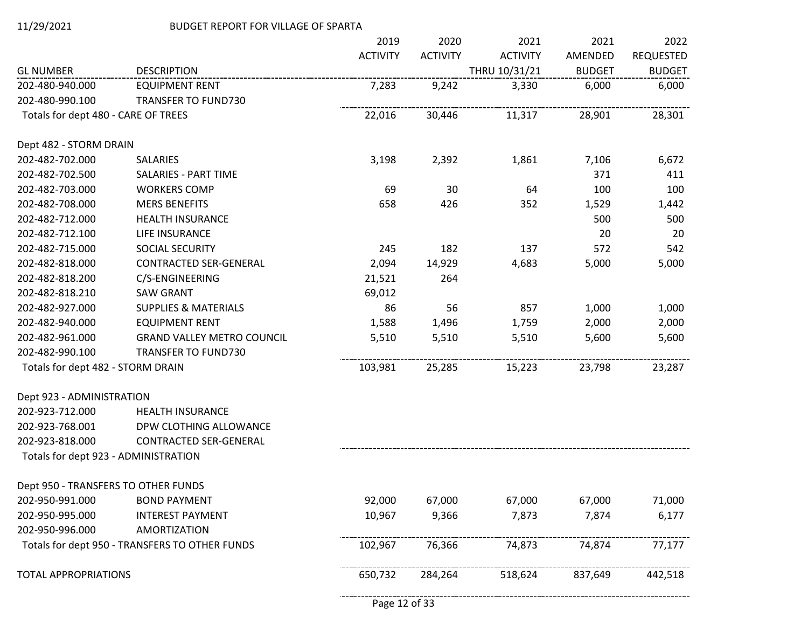|                                      |                                                | 2019            | 2020            | 2021            | 2021          | 2022             |
|--------------------------------------|------------------------------------------------|-----------------|-----------------|-----------------|---------------|------------------|
|                                      |                                                | <b>ACTIVITY</b> | <b>ACTIVITY</b> | <b>ACTIVITY</b> | AMENDED       | <b>REQUESTED</b> |
| <b>GL NUMBER</b>                     | <b>DESCRIPTION</b>                             |                 |                 | THRU 10/31/21   | <b>BUDGET</b> | <b>BUDGET</b>    |
| 202-480-940.000                      | <b>EQUIPMENT RENT</b>                          | 7,283           | 9,242           | 3,330           | 6,000         | 6,000            |
| 202-480-990.100                      | <b>TRANSFER TO FUND730</b>                     |                 |                 |                 |               |                  |
| Totals for dept 480 - CARE OF TREES  |                                                | 22,016          | 30,446          | 11,317          | 28,901        | 28,301           |
| Dept 482 - STORM DRAIN               |                                                |                 |                 |                 |               |                  |
| 202-482-702.000                      | <b>SALARIES</b>                                | 3,198           | 2,392           | 1,861           | 7,106         | 6,672            |
| 202-482-702.500                      | SALARIES - PART TIME                           |                 |                 |                 | 371           | 411              |
| 202-482-703.000                      | <b>WORKERS COMP</b>                            | 69              | 30              | 64              | 100           | 100              |
| 202-482-708.000                      | <b>MERS BENEFITS</b>                           | 658             | 426             | 352             | 1,529         | 1,442            |
| 202-482-712.000                      | <b>HEALTH INSURANCE</b>                        |                 |                 |                 | 500           | 500              |
| 202-482-712.100                      | LIFE INSURANCE                                 |                 |                 |                 | 20            | 20               |
| 202-482-715.000                      | SOCIAL SECURITY                                | 245             | 182             | 137             | 572           | 542              |
| 202-482-818.000                      | <b>CONTRACTED SER-GENERAL</b>                  | 2,094           | 14,929          | 4,683           | 5,000         | 5,000            |
| 202-482-818.200                      | C/S-ENGINEERING                                | 21,521          | 264             |                 |               |                  |
| 202-482-818.210                      | <b>SAW GRANT</b>                               | 69,012          |                 |                 |               |                  |
| 202-482-927.000                      | <b>SUPPLIES &amp; MATERIALS</b>                | 86              | 56              | 857             | 1,000         | 1,000            |
| 202-482-940.000                      | <b>EQUIPMENT RENT</b>                          | 1,588           | 1,496           | 1,759           | 2,000         | 2,000            |
| 202-482-961.000                      | <b>GRAND VALLEY METRO COUNCIL</b>              | 5,510           | 5,510           | 5,510           | 5,600         | 5,600            |
| 202-482-990.100                      | <b>TRANSFER TO FUND730</b>                     |                 |                 |                 |               |                  |
| Totals for dept 482 - STORM DRAIN    |                                                | 103,981         | 25,285          | 15,223          | 23,798        | 23,287           |
| Dept 923 - ADMINISTRATION            |                                                |                 |                 |                 |               |                  |
| 202-923-712.000                      | <b>HEALTH INSURANCE</b>                        |                 |                 |                 |               |                  |
| 202-923-768.001                      | DPW CLOTHING ALLOWANCE                         |                 |                 |                 |               |                  |
| 202-923-818.000                      | <b>CONTRACTED SER-GENERAL</b>                  |                 |                 |                 |               |                  |
| Totals for dept 923 - ADMINISTRATION |                                                |                 |                 |                 |               |                  |
| Dept 950 - TRANSFERS TO OTHER FUNDS  |                                                |                 |                 |                 |               |                  |
| 202-950-991.000                      | <b>BOND PAYMENT</b>                            | 92,000          | 67,000          | 67,000          | 67,000        | 71,000           |
| 202-950-995.000                      | <b>INTEREST PAYMENT</b>                        | 10,967          | 9,366           | 7,873           | 7,874         | 6,177            |
| 202-950-996.000                      | AMORTIZATION                                   |                 |                 |                 |               |                  |
|                                      | Totals for dept 950 - TRANSFERS TO OTHER FUNDS | 102,967         | 76,366          | 74,873          | 74,874        | 77,177           |
| <b>TOTAL APPROPRIATIONS</b>          |                                                | 650,732         | 284,264         | 518,624         | 837,649       | 442,518          |

-------------------------------------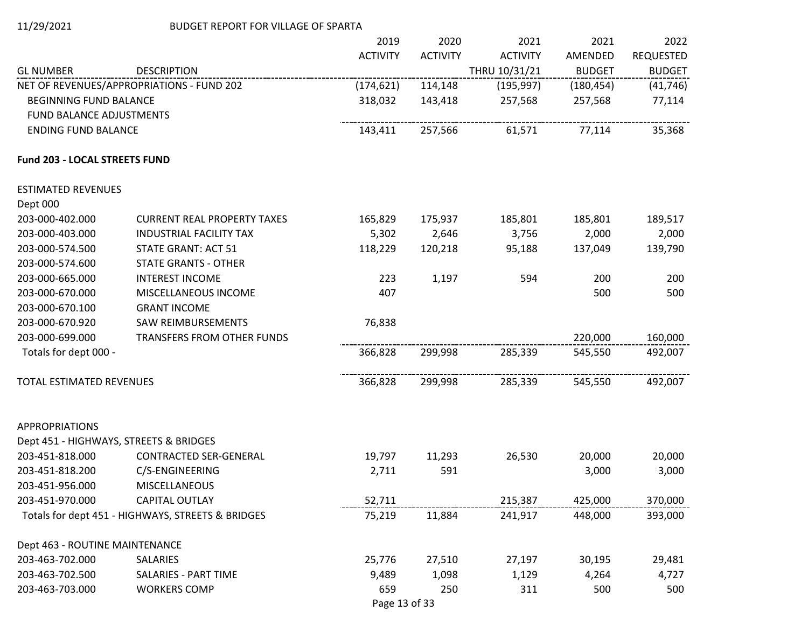|                                 |                                                   | 2019            | 2020            | 2021            | 2021          | 2022             |
|---------------------------------|---------------------------------------------------|-----------------|-----------------|-----------------|---------------|------------------|
|                                 |                                                   | <b>ACTIVITY</b> | <b>ACTIVITY</b> | <b>ACTIVITY</b> | AMENDED       | <b>REQUESTED</b> |
| <b>GL NUMBER</b>                | <b>DESCRIPTION</b>                                |                 |                 | THRU 10/31/21   | <b>BUDGET</b> | <b>BUDGET</b>    |
|                                 | NET OF REVENUES/APPROPRIATIONS - FUND 202         | (174, 621)      | 114,148         | (195, 997)      | (180, 454)    | (41, 746)        |
| <b>BEGINNING FUND BALANCE</b>   |                                                   | 318,032         | 143,418         | 257,568         | 257,568       | 77,114           |
| <b>FUND BALANCE ADJUSTMENTS</b> |                                                   |                 |                 |                 |               |                  |
| <b>ENDING FUND BALANCE</b>      |                                                   | 143,411         | 257,566         | 61,571          | 77,114        | 35,368           |
| Fund 203 - LOCAL STREETS FUND   |                                                   |                 |                 |                 |               |                  |
| <b>ESTIMATED REVENUES</b>       |                                                   |                 |                 |                 |               |                  |
| Dept 000                        |                                                   |                 |                 |                 |               |                  |
| 203-000-402.000                 | <b>CURRENT REAL PROPERTY TAXES</b>                | 165,829         | 175,937         | 185,801         | 185,801       | 189,517          |
| 203-000-403.000                 | <b>INDUSTRIAL FACILITY TAX</b>                    | 5,302           | 2,646           | 3,756           | 2,000         | 2,000            |
| 203-000-574.500                 | <b>STATE GRANT: ACT 51</b>                        | 118,229         | 120,218         | 95,188          | 137,049       | 139,790          |
| 203-000-574.600                 | <b>STATE GRANTS - OTHER</b>                       |                 |                 |                 |               |                  |
| 203-000-665.000                 | <b>INTEREST INCOME</b>                            | 223             | 1,197           | 594             | 200           | 200              |
| 203-000-670.000                 | MISCELLANEOUS INCOME                              | 407             |                 |                 | 500           | 500              |
| 203-000-670.100                 | <b>GRANT INCOME</b>                               |                 |                 |                 |               |                  |
| 203-000-670.920                 | <b>SAW REIMBURSEMENTS</b>                         | 76,838          |                 |                 |               |                  |
| 203-000-699.000                 | TRANSFERS FROM OTHER FUNDS                        |                 |                 |                 | 220,000       | 160,000          |
| Totals for dept 000 -           |                                                   | 366,828         | 299,998         | 285,339         | 545,550       | 492,007          |
| TOTAL ESTIMATED REVENUES        |                                                   | 366,828         | 299,998         | 285,339         | 545,550       | 492,007          |
| <b>APPROPRIATIONS</b>           |                                                   |                 |                 |                 |               |                  |
|                                 | Dept 451 - HIGHWAYS, STREETS & BRIDGES            |                 |                 |                 |               |                  |
| 203-451-818.000                 | <b>CONTRACTED SER-GENERAL</b>                     | 19,797          | 11,293          | 26,530          | 20,000        | 20,000           |
| 203-451-818.200                 | C/S-ENGINEERING                                   | 2,711           | 591             |                 | 3,000         | 3,000            |
| 203-451-956.000                 | <b>MISCELLANEOUS</b>                              |                 |                 |                 |               |                  |
| 203-451-970.000                 | <b>CAPITAL OUTLAY</b>                             | 52,711          |                 | 215,387         | 425,000       | 370,000          |
|                                 | Totals for dept 451 - HIGHWAYS, STREETS & BRIDGES | 75,219          | 11,884          | 241,917         | 448,000       | 393,000          |
| Dept 463 - ROUTINE MAINTENANCE  |                                                   |                 |                 |                 |               |                  |
| 203-463-702.000                 | SALARIES                                          | 25,776          | 27,510          | 27,197          | 30,195        | 29,481           |
| 203-463-702.500                 | SALARIES - PART TIME                              | 9,489           | 1,098           | 1,129           | 4,264         | 4,727            |
| 203-463-703.000                 | <b>WORKERS COMP</b>                               | 659             | 250             | 311             | 500           | 500              |

Page 13 of 33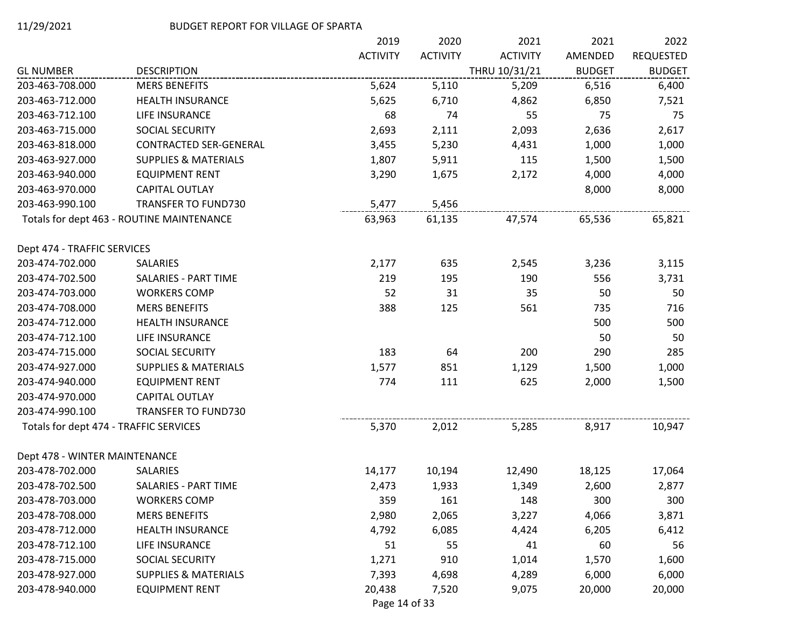|                                        |                                           | 2019            | 2020            | 2021            | 2021          | 2022             |
|----------------------------------------|-------------------------------------------|-----------------|-----------------|-----------------|---------------|------------------|
|                                        |                                           | <b>ACTIVITY</b> | <b>ACTIVITY</b> | <b>ACTIVITY</b> | AMENDED       | <b>REQUESTED</b> |
| <b>GL NUMBER</b>                       | <b>DESCRIPTION</b>                        |                 |                 | THRU 10/31/21   | <b>BUDGET</b> | <b>BUDGET</b>    |
| 203-463-708.000                        | <b>MERS BENEFITS</b>                      | 5,624           | 5,110           | 5,209           | 6,516         | 6,400            |
| 203-463-712.000                        | <b>HEALTH INSURANCE</b>                   | 5,625           | 6,710           | 4,862           | 6,850         | 7,521            |
| 203-463-712.100                        | LIFE INSURANCE                            | 68              | 74              | 55              | 75            | 75               |
| 203-463-715.000                        | SOCIAL SECURITY                           | 2,693           | 2,111           | 2,093           | 2,636         | 2,617            |
| 203-463-818.000                        | CONTRACTED SER-GENERAL                    | 3,455           | 5,230           | 4,431           | 1,000         | 1,000            |
| 203-463-927.000                        | <b>SUPPLIES &amp; MATERIALS</b>           | 1,807           | 5,911           | 115             | 1,500         | 1,500            |
| 203-463-940.000                        | <b>EQUIPMENT RENT</b>                     | 3,290           | 1,675           | 2,172           | 4,000         | 4,000            |
| 203-463-970.000                        | <b>CAPITAL OUTLAY</b>                     |                 |                 |                 | 8,000         | 8,000            |
| 203-463-990.100                        | <b>TRANSFER TO FUND730</b>                | 5,477           | 5,456           |                 |               |                  |
|                                        | Totals for dept 463 - ROUTINE MAINTENANCE | 63,963          | 61,135          | 47,574          | 65,536        | 65,821           |
| Dept 474 - TRAFFIC SERVICES            |                                           |                 |                 |                 |               |                  |
| 203-474-702.000                        | SALARIES                                  | 2,177           | 635             | 2,545           | 3,236         | 3,115            |
| 203-474-702.500                        | <b>SALARIES - PART TIME</b>               | 219             | 195             | 190             | 556           | 3,731            |
| 203-474-703.000                        | <b>WORKERS COMP</b>                       | 52              | 31              | 35              | 50            | 50               |
| 203-474-708.000                        | <b>MERS BENEFITS</b>                      | 388             | 125             | 561             | 735           | 716              |
| 203-474-712.000                        | <b>HEALTH INSURANCE</b>                   |                 |                 |                 | 500           | 500              |
| 203-474-712.100                        | LIFE INSURANCE                            |                 |                 |                 | 50            | 50               |
| 203-474-715.000                        | SOCIAL SECURITY                           | 183             | 64              | 200             | 290           | 285              |
| 203-474-927.000                        | <b>SUPPLIES &amp; MATERIALS</b>           | 1,577           | 851             | 1,129           | 1,500         | 1,000            |
| 203-474-940.000                        | <b>EQUIPMENT RENT</b>                     | 774             | 111             | 625             | 2,000         | 1,500            |
| 203-474-970.000                        | CAPITAL OUTLAY                            |                 |                 |                 |               |                  |
| 203-474-990.100                        | <b>TRANSFER TO FUND730</b>                |                 |                 |                 |               |                  |
| Totals for dept 474 - TRAFFIC SERVICES |                                           | 5,370           | 2,012           | 5,285           | 8,917         | 10,947           |
| Dept 478 - WINTER MAINTENANCE          |                                           |                 |                 |                 |               |                  |
| 203-478-702.000                        | SALARIES                                  | 14,177          | 10,194          | 12,490          | 18,125        | 17,064           |
| 203-478-702.500                        | SALARIES - PART TIME                      | 2,473           | 1,933           | 1,349           | 2,600         | 2,877            |
| 203-478-703.000                        | <b>WORKERS COMP</b>                       | 359             | 161             | 148             | 300           | 300              |
| 203-478-708.000                        | <b>MERS BENEFITS</b>                      | 2,980           | 2,065           | 3,227           | 4,066         | 3,871            |
| 203-478-712.000                        | <b>HEALTH INSURANCE</b>                   | 4,792           | 6,085           | 4,424           | 6,205         | 6,412            |
| 203-478-712.100                        | LIFE INSURANCE                            | 51              | 55              | 41              | 60            | 56               |
| 203-478-715.000                        | SOCIAL SECURITY                           | 1,271           | 910             | 1,014           | 1,570         | 1,600            |
| 203-478-927.000                        | <b>SUPPLIES &amp; MATERIALS</b>           | 7,393           | 4,698           | 4,289           | 6,000         | 6,000            |
| 203-478-940.000                        | <b>EQUIPMENT RENT</b>                     | 20,438          | 7,520           | 9,075           | 20,000        | 20,000           |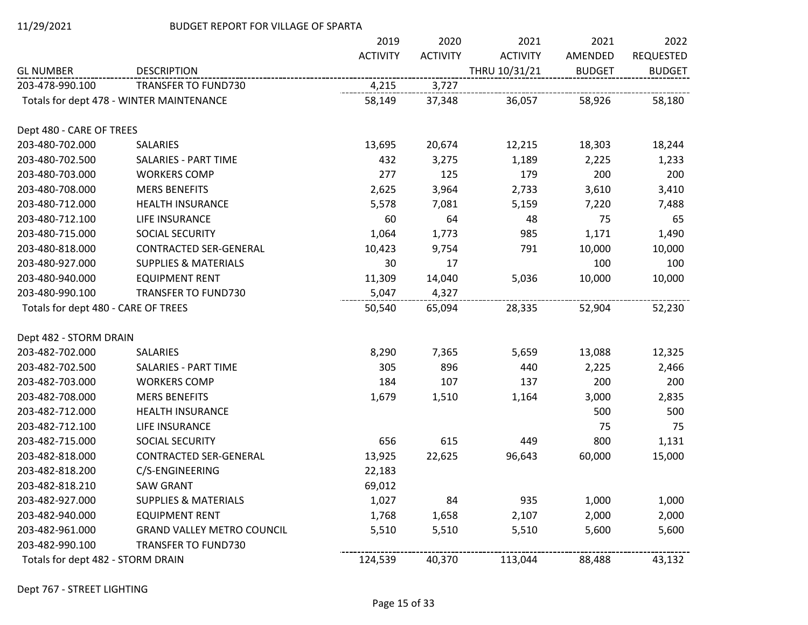|                                     |                                          | 2019            | 2020            | 2021            | 2021          | 2022             |
|-------------------------------------|------------------------------------------|-----------------|-----------------|-----------------|---------------|------------------|
|                                     |                                          | <b>ACTIVITY</b> | <b>ACTIVITY</b> | <b>ACTIVITY</b> | AMENDED       | <b>REQUESTED</b> |
| <b>GL NUMBER</b>                    | <b>DESCRIPTION</b>                       |                 |                 | THRU 10/31/21   | <b>BUDGET</b> | <b>BUDGET</b>    |
| 203-478-990.100                     | <b>TRANSFER TO FUND730</b>               | 4,215           | 3,727           |                 |               |                  |
|                                     | Totals for dept 478 - WINTER MAINTENANCE | 58,149          | 37,348          | 36,057          | 58,926        | 58,180           |
| Dept 480 - CARE OF TREES            |                                          |                 |                 |                 |               |                  |
| 203-480-702.000                     | SALARIES                                 | 13,695          | 20,674          | 12,215          | 18,303        | 18,244           |
| 203-480-702.500                     | <b>SALARIES - PART TIME</b>              | 432             | 3,275           | 1,189           | 2,225         | 1,233            |
| 203-480-703.000                     | <b>WORKERS COMP</b>                      | 277             | 125             | 179             | 200           | 200              |
| 203-480-708.000                     | <b>MERS BENEFITS</b>                     | 2,625           | 3,964           | 2,733           | 3,610         | 3,410            |
| 203-480-712.000                     | <b>HEALTH INSURANCE</b>                  | 5,578           | 7,081           | 5,159           | 7,220         | 7,488            |
| 203-480-712.100                     | LIFE INSURANCE                           | 60              | 64              | 48              | 75            | 65               |
| 203-480-715.000                     | SOCIAL SECURITY                          | 1,064           | 1,773           | 985             | 1,171         | 1,490            |
| 203-480-818.000                     | <b>CONTRACTED SER-GENERAL</b>            | 10,423          | 9,754           | 791             | 10,000        | 10,000           |
| 203-480-927.000                     | <b>SUPPLIES &amp; MATERIALS</b>          | 30              | 17              |                 | 100           | 100              |
| 203-480-940.000                     | <b>EQUIPMENT RENT</b>                    | 11,309          | 14,040          | 5,036           | 10,000        | 10,000           |
| 203-480-990.100                     | <b>TRANSFER TO FUND730</b>               | 5,047           | 4,327           |                 |               |                  |
| Totals for dept 480 - CARE OF TREES |                                          | 50,540          | 65,094          | 28,335          | 52,904        | 52,230           |
| Dept 482 - STORM DRAIN              |                                          |                 |                 |                 |               |                  |
| 203-482-702.000                     | SALARIES                                 | 8,290           | 7,365           | 5,659           | 13,088        | 12,325           |
| 203-482-702.500                     | <b>SALARIES - PART TIME</b>              | 305             | 896             | 440             | 2,225         | 2,466            |
| 203-482-703.000                     | <b>WORKERS COMP</b>                      | 184             | 107             | 137             | 200           | 200              |
| 203-482-708.000                     | <b>MERS BENEFITS</b>                     | 1,679           | 1,510           | 1,164           | 3,000         | 2,835            |
| 203-482-712.000                     | <b>HEALTH INSURANCE</b>                  |                 |                 |                 | 500           | 500              |
| 203-482-712.100                     | LIFE INSURANCE                           |                 |                 |                 | 75            | 75               |
| 203-482-715.000                     | SOCIAL SECURITY                          | 656             | 615             | 449             | 800           | 1,131            |
| 203-482-818.000                     | <b>CONTRACTED SER-GENERAL</b>            | 13,925          | 22,625          | 96,643          | 60,000        | 15,000           |
| 203-482-818.200                     | C/S-ENGINEERING                          | 22,183          |                 |                 |               |                  |
| 203-482-818.210                     | <b>SAW GRANT</b>                         | 69,012          |                 |                 |               |                  |
| 203-482-927.000                     | <b>SUPPLIES &amp; MATERIALS</b>          | 1,027           | 84              | 935             | 1,000         | 1,000            |
| 203-482-940.000                     | <b>EQUIPMENT RENT</b>                    | 1,768           | 1,658           | 2,107           | 2,000         | 2,000            |
| 203-482-961.000                     | <b>GRAND VALLEY METRO COUNCIL</b>        | 5,510           | 5,510           | 5,510           | 5,600         | 5,600            |
| 203-482-990.100                     | <b>TRANSFER TO FUND730</b>               |                 |                 |                 |               |                  |
| Totals for dept 482 - STORM DRAIN   |                                          | 124,539         | 40,370          | 113,044         | 88,488        | 43,132           |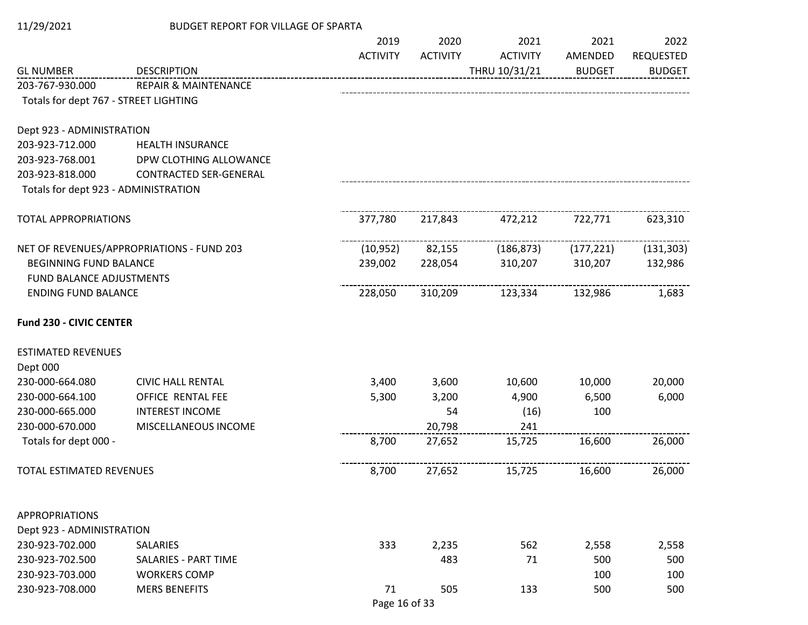| 11/29/2021                            | <b>BUDGET REPORT FOR VILLAGE OF SPARTA</b> |                 |                 |                 |               |                  |
|---------------------------------------|--------------------------------------------|-----------------|-----------------|-----------------|---------------|------------------|
|                                       |                                            | 2019            | 2020            | 2021            | 2021          | 2022             |
|                                       |                                            | <b>ACTIVITY</b> | <b>ACTIVITY</b> | <b>ACTIVITY</b> | AMENDED       | <b>REQUESTED</b> |
| <b>GL NUMBER</b>                      | <b>DESCRIPTION</b>                         |                 |                 | THRU 10/31/21   | <b>BUDGET</b> | <b>BUDGET</b>    |
| 203-767-930.000                       | <b>REPAIR &amp; MAINTENANCE</b>            |                 |                 |                 |               |                  |
| Totals for dept 767 - STREET LIGHTING |                                            |                 |                 |                 |               |                  |
| Dept 923 - ADMINISTRATION             |                                            |                 |                 |                 |               |                  |
| 203-923-712.000                       | <b>HEALTH INSURANCE</b>                    |                 |                 |                 |               |                  |
| 203-923-768.001                       | DPW CLOTHING ALLOWANCE                     |                 |                 |                 |               |                  |
| 203-923-818.000                       | CONTRACTED SER-GENERAL                     |                 |                 |                 |               |                  |
| Totals for dept 923 - ADMINISTRATION  |                                            |                 |                 |                 |               |                  |
| <b>TOTAL APPROPRIATIONS</b>           |                                            | 377,780         | 217,843         | 472,212         | 722,771       | 623,310          |
|                                       |                                            |                 |                 |                 |               |                  |
|                                       | NET OF REVENUES/APPROPRIATIONS - FUND 203  | (10, 952)       | 82,155          | (186, 873)      | (177, 221)    | (131, 303)       |
| <b>BEGINNING FUND BALANCE</b>         |                                            | 239,002         | 228,054         | 310,207         | 310,207       | 132,986          |
| <b>FUND BALANCE ADJUSTMENTS</b>       |                                            |                 |                 |                 |               |                  |
| <b>ENDING FUND BALANCE</b>            |                                            | 228,050         | 310,209         | 123,334         | 132,986       | 1,683            |
| <b>Fund 230 - CIVIC CENTER</b>        |                                            |                 |                 |                 |               |                  |
| <b>ESTIMATED REVENUES</b>             |                                            |                 |                 |                 |               |                  |
| Dept 000                              |                                            |                 |                 |                 |               |                  |
| 230-000-664.080                       | <b>CIVIC HALL RENTAL</b>                   | 3,400           | 3,600           | 10,600          | 10,000        | 20,000           |
| 230-000-664.100                       | OFFICE RENTAL FEE                          | 5,300           | 3,200           | 4,900           | 6,500         | 6,000            |
| 230-000-665.000                       | <b>INTEREST INCOME</b>                     |                 | 54              | (16)            | 100           |                  |
| 230-000-670.000                       | MISCELLANEOUS INCOME                       |                 | 20,798          | 241             |               |                  |
| Totals for dept 000 -                 |                                            | 8,700           | 27,652          | 15,725          | 16,600        | 26,000           |
| TOTAL ESTIMATED REVENUES              |                                            | 8,700           | 27,652          | 15,725          | 16,600        | 26,000           |
| <b>APPROPRIATIONS</b>                 |                                            |                 |                 |                 |               |                  |
| Dept 923 - ADMINISTRATION             |                                            |                 |                 |                 |               |                  |
| 230-923-702.000                       | <b>SALARIES</b>                            | 333             | 2,235           | 562             | 2,558         | 2,558            |
| 230-923-702.500                       | SALARIES - PART TIME                       |                 | 483             | 71              | 500           | 500              |
| 230-923-703.000                       | <b>WORKERS COMP</b>                        |                 |                 |                 | 100           | 100              |
| 230-923-708.000                       | <b>MERS BENEFITS</b>                       | 71              | 505             | 133             | 500           | 500              |
|                                       |                                            | Page 16 of 33   |                 |                 |               |                  |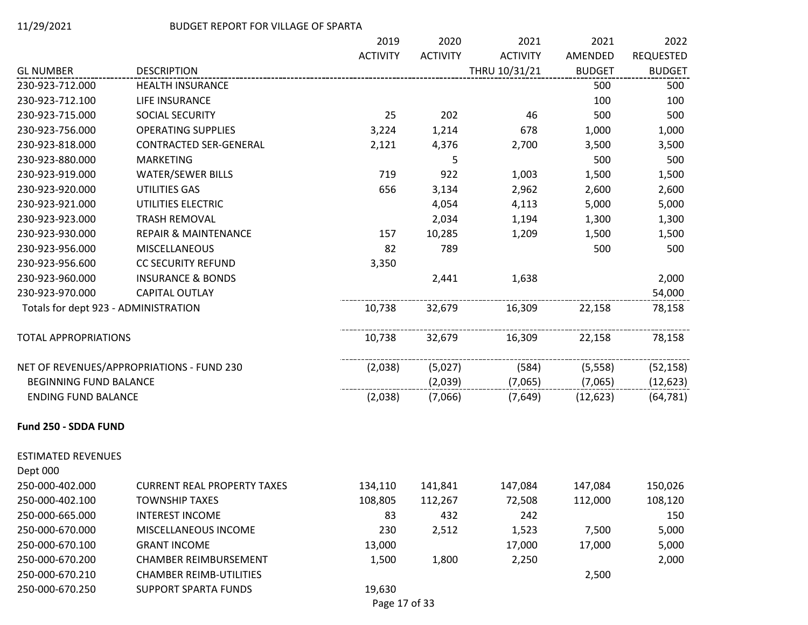|                                      |                                           | 2019            | 2020            | 2021            | 2021          | 2022             |
|--------------------------------------|-------------------------------------------|-----------------|-----------------|-----------------|---------------|------------------|
|                                      |                                           | <b>ACTIVITY</b> | <b>ACTIVITY</b> | <b>ACTIVITY</b> | AMENDED       | <b>REQUESTED</b> |
| <b>GL NUMBER</b>                     | <b>DESCRIPTION</b>                        |                 |                 | THRU 10/31/21   | <b>BUDGET</b> | <b>BUDGET</b>    |
| 230-923-712.000                      | <b>HEALTH INSURANCE</b>                   |                 |                 |                 | 500           | 500              |
| 230-923-712.100                      | LIFE INSURANCE                            |                 |                 |                 | 100           | 100              |
| 230-923-715.000                      | SOCIAL SECURITY                           | 25              | 202             | 46              | 500           | 500              |
| 230-923-756.000                      | <b>OPERATING SUPPLIES</b>                 | 3,224           | 1,214           | 678             | 1,000         | 1,000            |
| 230-923-818.000                      | <b>CONTRACTED SER-GENERAL</b>             | 2,121           | 4,376           | 2,700           | 3,500         | 3,500            |
| 230-923-880.000                      | <b>MARKETING</b>                          |                 | 5               |                 | 500           | 500              |
| 230-923-919.000                      | <b>WATER/SEWER BILLS</b>                  | 719             | 922             | 1,003           | 1,500         | 1,500            |
| 230-923-920.000                      | UTILITIES GAS                             | 656             | 3,134           | 2,962           | 2,600         | 2,600            |
| 230-923-921.000                      | UTILITIES ELECTRIC                        |                 | 4,054           | 4,113           | 5,000         | 5,000            |
| 230-923-923.000                      | <b>TRASH REMOVAL</b>                      |                 | 2,034           | 1,194           | 1,300         | 1,300            |
| 230-923-930.000                      | <b>REPAIR &amp; MAINTENANCE</b>           | 157             | 10,285          | 1,209           | 1,500         | 1,500            |
| 230-923-956.000                      | MISCELLANEOUS                             | 82              | 789             |                 | 500           | 500              |
| 230-923-956.600                      | <b>CC SECURITY REFUND</b>                 | 3,350           |                 |                 |               |                  |
| 230-923-960.000                      | <b>INSURANCE &amp; BONDS</b>              |                 | 2,441           | 1,638           |               | 2,000            |
| 230-923-970.000                      | <b>CAPITAL OUTLAY</b>                     |                 |                 |                 |               | 54,000           |
| Totals for dept 923 - ADMINISTRATION |                                           | 10,738          | 32,679          | 16,309          | 22,158        | 78,158           |
| <b>TOTAL APPROPRIATIONS</b>          |                                           | 10,738          | 32,679          | 16,309          | 22,158        | 78,158           |
|                                      | NET OF REVENUES/APPROPRIATIONS - FUND 230 | (2,038)         | (5,027)         | (584)           | (5, 558)      | (52, 158)        |
| <b>BEGINNING FUND BALANCE</b>        |                                           |                 | (2,039)         | (7,065)         | (7,065)       | (12, 623)        |
| <b>ENDING FUND BALANCE</b>           |                                           | (2,038)         | (7,066)         | (7,649)         | (12, 623)     | (64, 781)        |
| Fund 250 - SDDA FUND                 |                                           |                 |                 |                 |               |                  |
| <b>ESTIMATED REVENUES</b>            |                                           |                 |                 |                 |               |                  |
| Dept 000                             |                                           |                 |                 |                 |               |                  |
| 250-000-402.000                      | <b>CURRENT REAL PROPERTY TAXES</b>        | 134,110         | 141,841         | 147,084         | 147,084       | 150,026          |
| 250-000-402.100                      | <b>TOWNSHIP TAXES</b>                     | 108,805         | 112,267         | 72,508          | 112,000       | 108,120          |
| 250-000-665.000                      | <b>INTEREST INCOME</b>                    | 83              | 432             | 242             |               | 150              |
| 250-000-670.000                      | MISCELLANEOUS INCOME                      | 230             | 2,512           | 1,523           | 7,500         | 5,000            |
| 250-000-670.100                      | <b>GRANT INCOME</b>                       | 13,000          |                 | 17,000          | 17,000        | 5,000            |
| 250-000-670.200                      | <b>CHAMBER REIMBURSEMENT</b>              | 1,500           | 1,800           | 2,250           |               | 2,000            |
| 250-000-670.210                      | <b>CHAMBER REIMB-UTILITIES</b>            |                 |                 |                 | 2,500         |                  |
| 250-000-670.250                      | <b>SUPPORT SPARTA FUNDS</b>               | 19,630          |                 |                 |               |                  |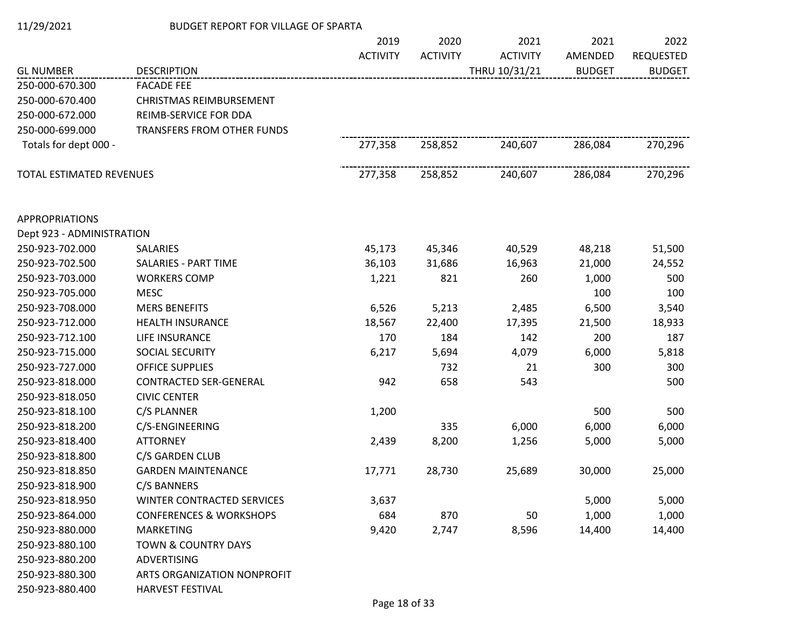| 11/29/2021 | BUDGET REPORT FOR VILLAGE OF SPARTA |
|------------|-------------------------------------|
|            |                                     |

|                           |                                    | 2019            | 2020            | 2021            | 2021          | 2022             |
|---------------------------|------------------------------------|-----------------|-----------------|-----------------|---------------|------------------|
|                           |                                    | <b>ACTIVITY</b> | <b>ACTIVITY</b> | <b>ACTIVITY</b> | AMENDED       | <b>REQUESTED</b> |
| <b>GL NUMBER</b>          | <b>DESCRIPTION</b>                 |                 |                 | THRU 10/31/21   | <b>BUDGET</b> | <b>BUDGET</b>    |
| 250-000-670.300           | <b>FACADE FEE</b>                  |                 |                 |                 |               |                  |
| 250-000-670.400           | <b>CHRISTMAS REIMBURSEMENT</b>     |                 |                 |                 |               |                  |
| 250-000-672.000           | REIMB-SERVICE FOR DDA              |                 |                 |                 |               |                  |
| 250-000-699.000           | TRANSFERS FROM OTHER FUNDS         |                 |                 |                 |               |                  |
| Totals for dept 000 -     |                                    | 277,358         | 258,852         | 240,607         | 286,084       | 270,296          |
| TOTAL ESTIMATED REVENUES  |                                    | 277,358         | 258,852         | 240,607         | 286,084       | 270,296          |
| <b>APPROPRIATIONS</b>     |                                    |                 |                 |                 |               |                  |
| Dept 923 - ADMINISTRATION |                                    |                 |                 |                 |               |                  |
| 250-923-702.000           | <b>SALARIES</b>                    | 45,173          | 45,346          | 40,529          | 48,218        | 51,500           |
| 250-923-702.500           | <b>SALARIES - PART TIME</b>        | 36,103          | 31,686          | 16,963          | 21,000        | 24,552           |
| 250-923-703.000           | <b>WORKERS COMP</b>                | 1,221           | 821             | 260             | 1,000         | 500              |
| 250-923-705.000           | <b>MESC</b>                        |                 |                 |                 | 100           | 100              |
| 250-923-708.000           | <b>MERS BENEFITS</b>               | 6,526           | 5,213           | 2,485           | 6,500         | 3,540            |
| 250-923-712.000           | <b>HEALTH INSURANCE</b>            | 18,567          | 22,400          | 17,395          | 21,500        | 18,933           |
| 250-923-712.100           | LIFE INSURANCE                     | 170             | 184             | 142             | 200           | 187              |
| 250-923-715.000           | SOCIAL SECURITY                    | 6,217           | 5,694           | 4,079           | 6,000         | 5,818            |
| 250-923-727.000           | OFFICE SUPPLIES                    |                 | 732             | 21              | 300           | 300              |
| 250-923-818.000           | <b>CONTRACTED SER-GENERAL</b>      | 942             | 658             | 543             |               | 500              |
| 250-923-818.050           | <b>CIVIC CENTER</b>                |                 |                 |                 |               |                  |
| 250-923-818.100           | C/S PLANNER                        | 1,200           |                 |                 | 500           | 500              |
| 250-923-818.200           | C/S-ENGINEERING                    |                 | 335             | 6,000           | 6,000         | 6,000            |
| 250-923-818.400           | <b>ATTORNEY</b>                    | 2,439           | 8,200           | 1,256           | 5,000         | 5,000            |
| 250-923-818.800           | C/S GARDEN CLUB                    |                 |                 |                 |               |                  |
| 250-923-818.850           | <b>GARDEN MAINTENANCE</b>          | 17,771          | 28,730          | 25,689          | 30,000        | 25,000           |
| 250-923-818.900           | C/S BANNERS                        |                 |                 |                 |               |                  |
| 250-923-818.950           | <b>WINTER CONTRACTED SERVICES</b>  | 3,637           |                 |                 | 5,000         | 5,000            |
| 250-923-864.000           | <b>CONFERENCES &amp; WORKSHOPS</b> | 684             | 870             | 50              | 1,000         | 1,000            |
| 250-923-880.000           | <b>MARKETING</b>                   | 9,420           | 2,747           | 8,596           | 14,400        | 14,400           |
| 250-923-880.100           | <b>TOWN &amp; COUNTRY DAYS</b>     |                 |                 |                 |               |                  |
| 250-923-880.200           | <b>ADVERTISING</b>                 |                 |                 |                 |               |                  |
| 250-923-880.300           | ARTS ORGANIZATION NONPROFIT        |                 |                 |                 |               |                  |
| 250-923-880.400           | HARVEST FESTIVAL                   |                 |                 |                 |               |                  |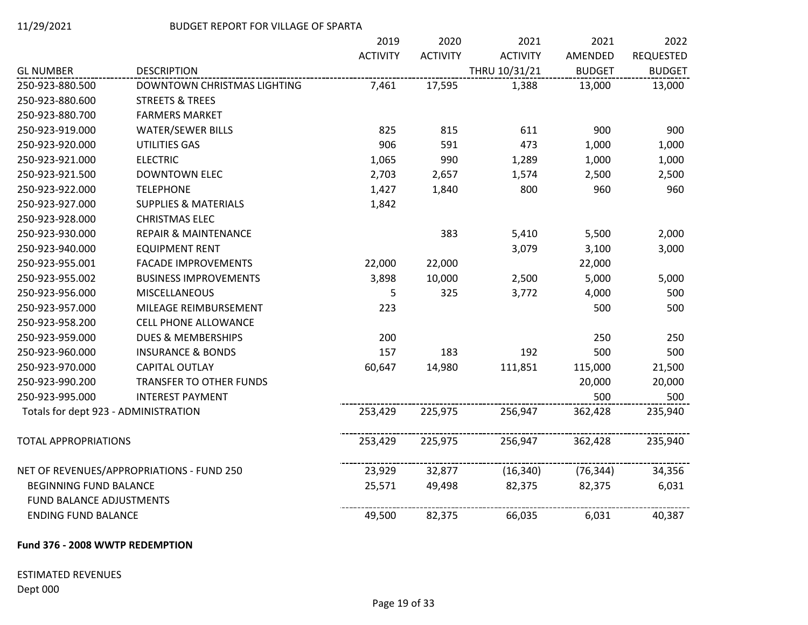|                                                        |                                           | 2019            | 2020            | 2021            | 2021          | 2022             |
|--------------------------------------------------------|-------------------------------------------|-----------------|-----------------|-----------------|---------------|------------------|
|                                                        |                                           | <b>ACTIVITY</b> | <b>ACTIVITY</b> | <b>ACTIVITY</b> | AMENDED       | <b>REQUESTED</b> |
| <b>GL NUMBER</b>                                       | <b>DESCRIPTION</b>                        |                 |                 | THRU 10/31/21   | <b>BUDGET</b> | <b>BUDGET</b>    |
| 250-923-880.500                                        | DOWNTOWN CHRISTMAS LIGHTING               | 7,461           | 17,595          | 1,388           | 13,000        | 13,000           |
| 250-923-880.600                                        | <b>STREETS &amp; TREES</b>                |                 |                 |                 |               |                  |
| 250-923-880.700                                        | <b>FARMERS MARKET</b>                     |                 |                 |                 |               |                  |
| 250-923-919.000                                        | <b>WATER/SEWER BILLS</b>                  | 825             | 815             | 611             | 900           | 900              |
| 250-923-920.000                                        | UTILITIES GAS                             | 906             | 591             | 473             | 1,000         | 1,000            |
| 250-923-921.000                                        | <b>ELECTRIC</b>                           | 1,065           | 990             | 1,289           | 1,000         | 1,000            |
| 250-923-921.500                                        | <b>DOWNTOWN ELEC</b>                      | 2,703           | 2,657           | 1,574           | 2,500         | 2,500            |
| 250-923-922.000                                        | <b>TELEPHONE</b>                          | 1,427           | 1,840           | 800             | 960           | 960              |
| 250-923-927.000                                        | <b>SUPPLIES &amp; MATERIALS</b>           | 1,842           |                 |                 |               |                  |
| 250-923-928.000                                        | <b>CHRISTMAS ELEC</b>                     |                 |                 |                 |               |                  |
| 250-923-930.000                                        | <b>REPAIR &amp; MAINTENANCE</b>           |                 | 383             | 5,410           | 5,500         | 2,000            |
| 250-923-940.000                                        | <b>EQUIPMENT RENT</b>                     |                 |                 | 3,079           | 3,100         | 3,000            |
| 250-923-955.001                                        | <b>FACADE IMPROVEMENTS</b>                | 22,000          | 22,000          |                 | 22,000        |                  |
| 250-923-955.002                                        | <b>BUSINESS IMPROVEMENTS</b>              | 3,898           | 10,000          | 2,500           | 5,000         | 5,000            |
| 250-923-956.000                                        | MISCELLANEOUS                             | 5               | 325             | 3,772           | 4,000         | 500              |
| 250-923-957.000                                        | MILEAGE REIMBURSEMENT                     | 223             |                 |                 | 500           | 500              |
| 250-923-958.200                                        | <b>CELL PHONE ALLOWANCE</b>               |                 |                 |                 |               |                  |
| 250-923-959.000                                        | <b>DUES &amp; MEMBERSHIPS</b>             | 200             |                 |                 | 250           | 250              |
| 250-923-960.000                                        | <b>INSURANCE &amp; BONDS</b>              | 157             | 183             | 192             | 500           | 500              |
| 250-923-970.000                                        | <b>CAPITAL OUTLAY</b>                     | 60,647          | 14,980          | 111,851         | 115,000       | 21,500           |
| 250-923-990.200                                        | TRANSFER TO OTHER FUNDS                   |                 |                 |                 | 20,000        | 20,000           |
| 250-923-995.000                                        | <b>INTEREST PAYMENT</b>                   |                 |                 |                 | 500           | 500              |
| Totals for dept 923 - ADMINISTRATION                   |                                           | 253,429         | 225,975         | 256,947         | 362,428       | 235,940          |
| <b>TOTAL APPROPRIATIONS</b>                            |                                           | 253,429         | 225,975         | 256,947         | 362,428       | 235,940          |
|                                                        | NET OF REVENUES/APPROPRIATIONS - FUND 250 | 23,929          | 32,877          | (16, 340)       | (76, 344)     | 34,356           |
| <b>BEGINNING FUND BALANCE</b>                          |                                           | 25,571          | 49,498          | 82,375          | 82,375        | 6,031            |
| FUND BALANCE ADJUSTMENTS<br><b>ENDING FUND BALANCE</b> |                                           | 49,500          | 82,375          | 66,035          | 6,031         | 40,387           |
|                                                        |                                           |                 |                 |                 |               |                  |

# **Fund 376 - 2008 WWTP REDEMPTION**

# ESTIMATED REVENUES Dept 000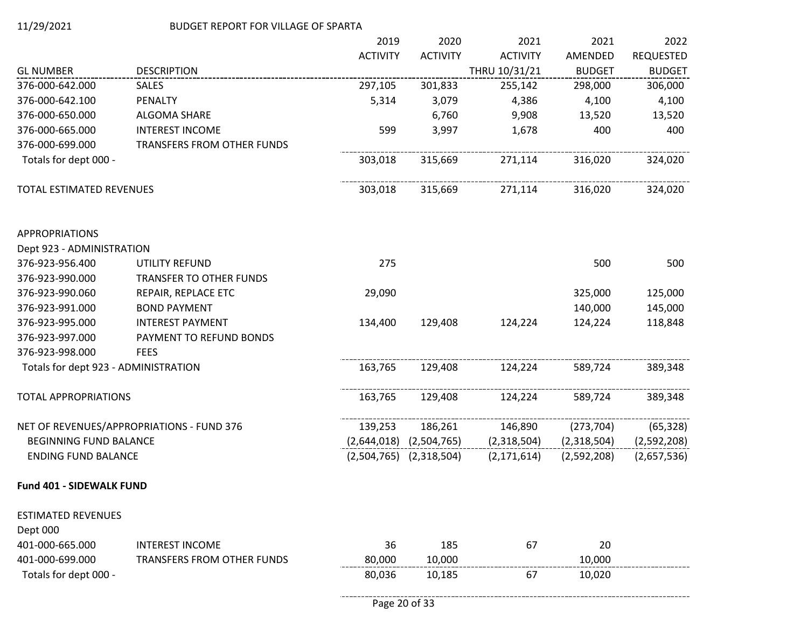|                                       |                                           | 2019            | 2020                        | 2021            | 2021          | 2022             |
|---------------------------------------|-------------------------------------------|-----------------|-----------------------------|-----------------|---------------|------------------|
|                                       |                                           | <b>ACTIVITY</b> | <b>ACTIVITY</b>             | <b>ACTIVITY</b> | AMENDED       | <b>REQUESTED</b> |
| <b>GL NUMBER</b>                      | <b>DESCRIPTION</b>                        |                 |                             | THRU 10/31/21   | <b>BUDGET</b> | <b>BUDGET</b>    |
| 376-000-642.000                       | <b>SALES</b>                              | 297,105         | 301,833                     | 255,142         | 298,000       | 306,000          |
| 376-000-642.100                       | PENALTY                                   | 5,314           | 3,079                       | 4,386           | 4,100         | 4,100            |
| 376-000-650.000                       | ALGOMA SHARE                              |                 | 6,760                       | 9,908           | 13,520        | 13,520           |
| 376-000-665.000                       | <b>INTEREST INCOME</b>                    | 599             | 3,997                       | 1,678           | 400           | 400              |
| 376-000-699.000                       | TRANSFERS FROM OTHER FUNDS                |                 |                             |                 |               |                  |
| Totals for dept 000 -                 |                                           | 303,018         | 315,669                     | 271,114         | 316,020       | 324,020          |
| TOTAL ESTIMATED REVENUES              |                                           | 303,018         | 315,669                     | 271,114         | 316,020       | 324,020          |
| <b>APPROPRIATIONS</b>                 |                                           |                 |                             |                 |               |                  |
| Dept 923 - ADMINISTRATION             |                                           |                 |                             |                 |               |                  |
| 376-923-956.400                       | UTILITY REFUND                            | 275             |                             |                 | 500           | 500              |
| 376-923-990.000                       | <b>TRANSFER TO OTHER FUNDS</b>            |                 |                             |                 |               |                  |
| 376-923-990.060                       | REPAIR, REPLACE ETC                       | 29,090          |                             |                 | 325,000       | 125,000          |
| 376-923-991.000                       | <b>BOND PAYMENT</b>                       |                 |                             |                 | 140,000       | 145,000          |
| 376-923-995.000                       | <b>INTEREST PAYMENT</b>                   | 134,400         | 129,408                     | 124,224         | 124,224       | 118,848          |
| 376-923-997.000                       | PAYMENT TO REFUND BONDS                   |                 |                             |                 |               |                  |
| 376-923-998.000                       | <b>FEES</b>                               |                 |                             |                 |               |                  |
| Totals for dept 923 - ADMINISTRATION  |                                           | 163,765         | 129,408                     | 124,224         | 589,724       | 389,348          |
| <b>TOTAL APPROPRIATIONS</b>           |                                           | 163,765         | 129,408                     | 124,224         | 589,724       | 389,348          |
|                                       | NET OF REVENUES/APPROPRIATIONS - FUND 376 | 139,253         | 186,261                     | 146,890         | (273, 704)    | (65, 328)        |
| <b>BEGINNING FUND BALANCE</b>         |                                           |                 | $(2,644,018)$ $(2,504,765)$ | (2,318,504)     | (2,318,504)   | (2,592,208)      |
| <b>ENDING FUND BALANCE</b>            |                                           |                 | $(2,504,765)$ $(2,318,504)$ | (2, 171, 614)   | (2,592,208)   | (2,657,536)      |
| Fund 401 - SIDEWALK FUND              |                                           |                 |                             |                 |               |                  |
| <b>ESTIMATED REVENUES</b><br>Dept 000 |                                           |                 |                             |                 |               |                  |
| 401-000-665.000                       | <b>INTEREST INCOME</b>                    | 36              | 185                         | 67              | 20            |                  |
| 401-000-699.000                       | TRANSFERS FROM OTHER FUNDS                | 80,000          | 10,000                      |                 | 10,000        |                  |
| Totals for dept 000 -                 |                                           | 80,036          | 10,185                      | 67              | 10,020        |                  |

--------------------------------------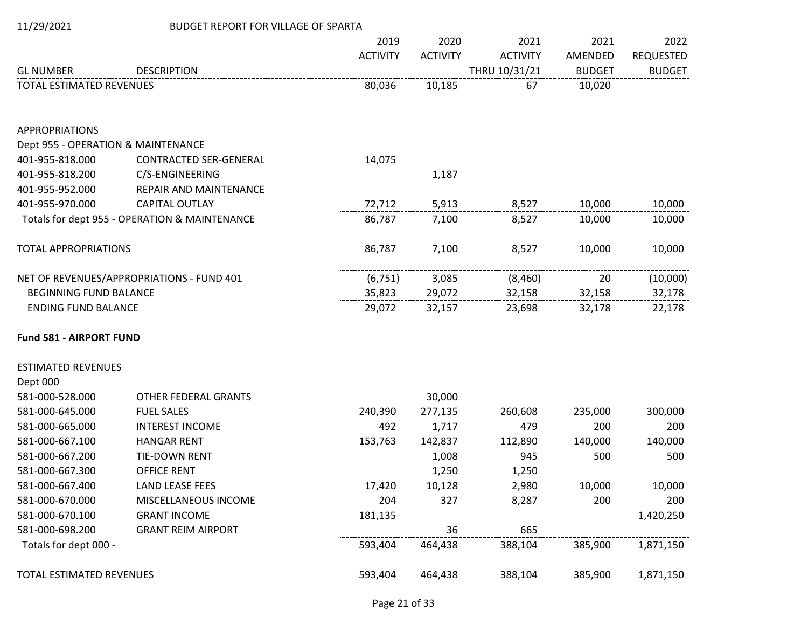| 11/29/2021                         | <b>BUDGET REPORT FOR VILLAGE OF SPARTA</b>    |                 |                 |                 |               |                  |
|------------------------------------|-----------------------------------------------|-----------------|-----------------|-----------------|---------------|------------------|
|                                    |                                               | 2019            | 2020            | 2021            | 2021          | 2022             |
|                                    |                                               | <b>ACTIVITY</b> | <b>ACTIVITY</b> | <b>ACTIVITY</b> | AMENDED       | <b>REQUESTED</b> |
| <b>GL NUMBER</b>                   | <b>DESCRIPTION</b>                            |                 |                 | THRU 10/31/21   | <b>BUDGET</b> | <b>BUDGET</b>    |
| <b>TOTAL ESTIMATED REVENUES</b>    |                                               | 80,036          | 10,185          | 67              | 10,020        |                  |
| <b>APPROPRIATIONS</b>              |                                               |                 |                 |                 |               |                  |
| Dept 955 - OPERATION & MAINTENANCE |                                               |                 |                 |                 |               |                  |
| 401-955-818.000                    | <b>CONTRACTED SER-GENERAL</b>                 | 14,075          |                 |                 |               |                  |
| 401-955-818.200                    | C/S-ENGINEERING                               |                 | 1,187           |                 |               |                  |
| 401-955-952.000                    | REPAIR AND MAINTENANCE                        |                 |                 |                 |               |                  |
| 401-955-970.000                    | CAPITAL OUTLAY                                | 72,712          | 5,913           | 8,527           | 10,000        | 10,000           |
|                                    | Totals for dept 955 - OPERATION & MAINTENANCE | 86,787          | 7,100           | 8,527           | 10,000        | 10,000           |
| <b>TOTAL APPROPRIATIONS</b>        |                                               | 86,787          | 7,100           | 8,527           | 10,000        | 10,000           |
|                                    | NET OF REVENUES/APPROPRIATIONS - FUND 401     | (6, 751)        | 3,085           | (8,460)         | 20            | (10,000)         |
| <b>BEGINNING FUND BALANCE</b>      |                                               | 35,823          | 29,072          | 32,158          | 32,158        | 32,178           |
| <b>ENDING FUND BALANCE</b>         |                                               | 29,072          | 32,157          | 23,698          | 32,178        | 22,178           |
| Fund 581 - AIRPORT FUND            |                                               |                 |                 |                 |               |                  |
| <b>ESTIMATED REVENUES</b>          |                                               |                 |                 |                 |               |                  |
| Dept 000                           |                                               |                 |                 |                 |               |                  |
| 581-000-528.000                    | <b>OTHER FEDERAL GRANTS</b>                   |                 | 30,000          |                 |               |                  |
| 581-000-645.000                    | <b>FUEL SALES</b>                             | 240,390         | 277,135         | 260,608         | 235,000       | 300,000          |
| 581-000-665.000                    | <b>INTEREST INCOME</b>                        | 492             | 1,717           | 479             | 200           | 200              |
| 581-000-667.100                    | <b>HANGAR RENT</b>                            | 153,763         | 142,837         | 112,890         | 140,000       | 140,000          |
| 581-000-667.200                    | TIE-DOWN RENT                                 |                 | 1,008           | 945             | 500           | 500              |
| 581-000-667.300                    | <b>OFFICE RENT</b>                            |                 | 1,250           | 1,250           |               |                  |
| 581-000-667.400                    | <b>LAND LEASE FEES</b>                        | 17,420          | 10,128          | 2,980           | 10,000        | 10,000           |
| 581-000-670.000                    | MISCELLANEOUS INCOME                          | 204             | 327             | 8,287           | 200           | 200              |
| 581-000-670.100                    | <b>GRANT INCOME</b>                           | 181,135         |                 |                 |               | 1,420,250        |
| 581-000-698.200                    | <b>GRANT REIM AIRPORT</b>                     |                 | 36              | 665             |               |                  |
| Totals for dept 000 -              |                                               | 593,404         | 464,438         | 388,104         | 385,900       | 1,871,150        |
| TOTAL ESTIMATED REVENUES           |                                               | 593,404         | 464,438         | 388,104         | 385,900       | 1,871,150        |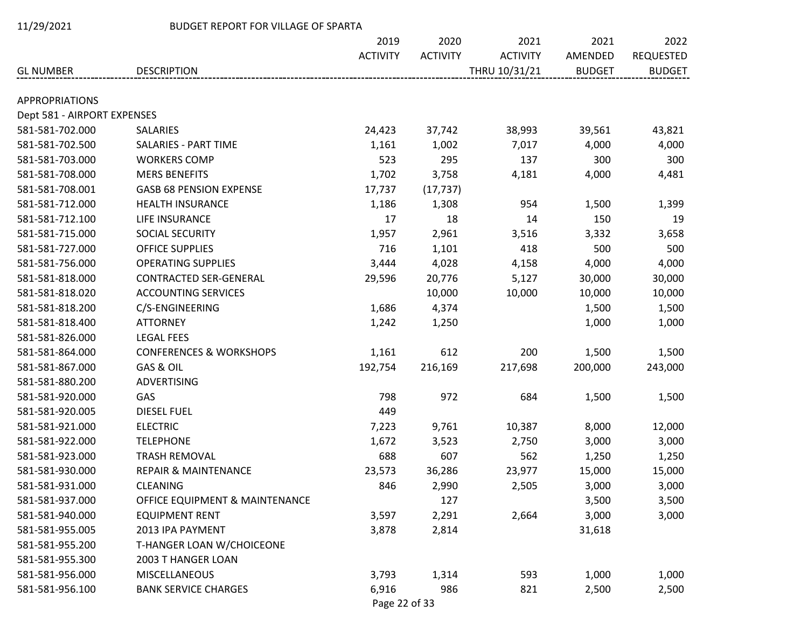| 11/29/2021 |
|------------|
|------------|

### BUDGET REPORT FOR VILLAGE OF SPARTA

|                             |                                    | 2019            | 2020            | 2021            | 2021          | 2022             |
|-----------------------------|------------------------------------|-----------------|-----------------|-----------------|---------------|------------------|
|                             |                                    | <b>ACTIVITY</b> | <b>ACTIVITY</b> | <b>ACTIVITY</b> | AMENDED       | <b>REQUESTED</b> |
| <b>GL NUMBER</b>            | <b>DESCRIPTION</b>                 |                 |                 | THRU 10/31/21   | <b>BUDGET</b> | <b>BUDGET</b>    |
| <b>APPROPRIATIONS</b>       |                                    |                 |                 |                 |               |                  |
| Dept 581 - AIRPORT EXPENSES |                                    |                 |                 |                 |               |                  |
| 581-581-702.000             | <b>SALARIES</b>                    | 24,423          | 37,742          | 38,993          | 39,561        | 43,821           |
| 581-581-702.500             | SALARIES - PART TIME               | 1,161           | 1,002           | 7,017           | 4,000         | 4,000            |
| 581-581-703.000             | <b>WORKERS COMP</b>                | 523             | 295             | 137             | 300           | 300              |
| 581-581-708.000             | <b>MERS BENEFITS</b>               | 1,702           | 3,758           | 4,181           | 4,000         | 4,481            |
| 581-581-708.001             | <b>GASB 68 PENSION EXPENSE</b>     | 17,737          | (17, 737)       |                 |               |                  |
| 581-581-712.000             | <b>HEALTH INSURANCE</b>            | 1,186           | 1,308           | 954             | 1,500         | 1,399            |
| 581-581-712.100             | LIFE INSURANCE                     | 17              | 18              | 14              | 150           | 19               |
| 581-581-715.000             | SOCIAL SECURITY                    | 1,957           | 2,961           | 3,516           | 3,332         | 3,658            |
| 581-581-727.000             | <b>OFFICE SUPPLIES</b>             | 716             | 1,101           | 418             | 500           | 500              |
| 581-581-756.000             | <b>OPERATING SUPPLIES</b>          | 3,444           | 4,028           | 4,158           | 4,000         | 4,000            |
| 581-581-818.000             | <b>CONTRACTED SER-GENERAL</b>      | 29,596          | 20,776          | 5,127           | 30,000        | 30,000           |
| 581-581-818.020             | <b>ACCOUNTING SERVICES</b>         |                 | 10,000          | 10,000          | 10,000        | 10,000           |
| 581-581-818.200             | C/S-ENGINEERING                    | 1,686           | 4,374           |                 | 1,500         | 1,500            |
| 581-581-818.400             | <b>ATTORNEY</b>                    | 1,242           | 1,250           |                 | 1,000         | 1,000            |
| 581-581-826.000             | <b>LEGAL FEES</b>                  |                 |                 |                 |               |                  |
| 581-581-864.000             | <b>CONFERENCES &amp; WORKSHOPS</b> | 1,161           | 612             | 200             | 1,500         | 1,500            |
| 581-581-867.000             | GAS & OIL                          | 192,754         | 216,169         | 217,698         | 200,000       | 243,000          |
| 581-581-880.200             | <b>ADVERTISING</b>                 |                 |                 |                 |               |                  |
| 581-581-920.000             | GAS                                | 798             | 972             | 684             | 1,500         | 1,500            |
| 581-581-920.005             | <b>DIESEL FUEL</b>                 | 449             |                 |                 |               |                  |
| 581-581-921.000             | <b>ELECTRIC</b>                    | 7,223           | 9,761           | 10,387          | 8,000         | 12,000           |
| 581-581-922.000             | <b>TELEPHONE</b>                   | 1,672           | 3,523           | 2,750           | 3,000         | 3,000            |
| 581-581-923.000             | TRASH REMOVAL                      | 688             | 607             | 562             | 1,250         | 1,250            |
| 581-581-930.000             | <b>REPAIR &amp; MAINTENANCE</b>    | 23,573          | 36,286          | 23,977          | 15,000        | 15,000           |
| 581-581-931.000             | <b>CLEANING</b>                    | 846             | 2,990           | 2,505           | 3,000         | 3,000            |
| 581-581-937.000             | OFFICE EQUIPMENT & MAINTENANCE     |                 | 127             |                 | 3,500         | 3,500            |
| 581-581-940.000             | <b>EQUIPMENT RENT</b>              | 3,597           | 2,291           | 2,664           | 3,000         | 3,000            |
| 581-581-955.005             | 2013 IPA PAYMENT                   | 3,878           | 2,814           |                 | 31,618        |                  |
| 581-581-955.200             | T-HANGER LOAN W/CHOICEONE          |                 |                 |                 |               |                  |
| 581-581-955.300             | 2003 T HANGER LOAN                 |                 |                 |                 |               |                  |
| 581-581-956.000             | <b>MISCELLANEOUS</b>               | 3,793           | 1,314           | 593             | 1,000         | 1,000            |
| 581-581-956.100             | <b>BANK SERVICE CHARGES</b>        | 6,916           | 986             | 821             | 2,500         | 2,500            |
|                             |                                    |                 |                 |                 |               |                  |

Page 22 of 33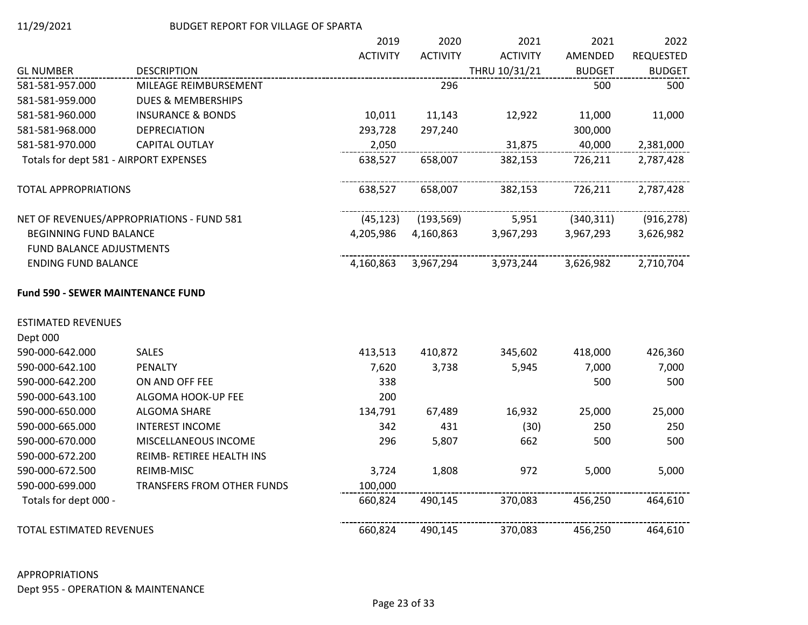|                                          |                                           | 2019            | 2020            | 2021            | 2021          | 2022          |
|------------------------------------------|-------------------------------------------|-----------------|-----------------|-----------------|---------------|---------------|
|                                          |                                           | <b>ACTIVITY</b> | <b>ACTIVITY</b> | <b>ACTIVITY</b> | AMENDED       | REQUESTED     |
| <b>GL NUMBER</b>                         | <b>DESCRIPTION</b>                        |                 |                 | THRU 10/31/21   | <b>BUDGET</b> | <b>BUDGET</b> |
| 581-581-957.000                          | MILEAGE REIMBURSEMENT                     |                 | 296             |                 | 500           | 500           |
| 581-581-959.000                          | <b>DUES &amp; MEMBERSHIPS</b>             |                 |                 |                 |               |               |
| 581-581-960.000                          | <b>INSURANCE &amp; BONDS</b>              | 10,011          | 11,143          | 12,922          | 11,000        | 11,000        |
| 581-581-968.000                          | <b>DEPRECIATION</b>                       | 293,728         | 297,240         |                 | 300,000       |               |
| 581-581-970.000                          | <b>CAPITAL OUTLAY</b>                     | 2,050           |                 | 31,875          | 40,000        | 2,381,000     |
| Totals for dept 581 - AIRPORT EXPENSES   |                                           | 638,527         | 658,007         | 382,153         | 726,211       | 2,787,428     |
| <b>TOTAL APPROPRIATIONS</b>              |                                           | 638,527         | 658,007         | 382,153         | 726,211       | 2,787,428     |
|                                          | NET OF REVENUES/APPROPRIATIONS - FUND 581 | (45, 123)       | (193, 569)      | 5,951           | (340, 311)    | (916, 278)    |
| <b>BEGINNING FUND BALANCE</b>            |                                           | 4,205,986       | 4,160,863       | 3,967,293       | 3,967,293     | 3,626,982     |
| FUND BALANCE ADJUSTMENTS                 |                                           |                 |                 |                 |               |               |
| <b>ENDING FUND BALANCE</b>               |                                           | 4,160,863       | 3,967,294       | 3,973,244       | 3,626,982     | 2,710,704     |
| <b>Fund 590 - SEWER MAINTENANCE FUND</b> |                                           |                 |                 |                 |               |               |
| <b>ESTIMATED REVENUES</b>                |                                           |                 |                 |                 |               |               |
| Dept 000                                 |                                           |                 |                 |                 |               |               |
| 590-000-642.000                          | <b>SALES</b>                              | 413,513         | 410,872         | 345,602         | 418,000       | 426,360       |
| 590-000-642.100                          | PENALTY                                   | 7,620           | 3,738           | 5,945           | 7,000         | 7,000         |
| 590-000-642.200                          | ON AND OFF FEE                            | 338             |                 |                 | 500           | 500           |
| 590-000-643.100                          | ALGOMA HOOK-UP FEE                        | 200             |                 |                 |               |               |
| 590-000-650.000                          | ALGOMA SHARE                              | 134,791         | 67,489          | 16,932          | 25,000        | 25,000        |
| 590-000-665.000                          | <b>INTEREST INCOME</b>                    | 342             | 431             | (30)            | 250           | 250           |
| 590-000-670.000                          | MISCELLANEOUS INCOME                      | 296             | 5,807           | 662             | 500           | 500           |
| 590-000-672.200                          | REIMB- RETIREE HEALTH INS                 |                 |                 |                 |               |               |
| 590-000-672.500                          | REIMB-MISC                                | 3,724           | 1,808           | 972             | 5,000         | 5,000         |
| 590-000-699.000                          | TRANSFERS FROM OTHER FUNDS                | 100,000         |                 |                 |               |               |
| Totals for dept 000 -                    |                                           | 660,824         | 490,145         | 370,083         | 456,250       | 464,610       |
| TOTAL ESTIMATED REVENUES                 |                                           | 660,824         | 490,145         | 370,083         | 456,250       | 464,610       |

# APPROPRIATIONS Dept 955 - OPERATION & MAINTENANCE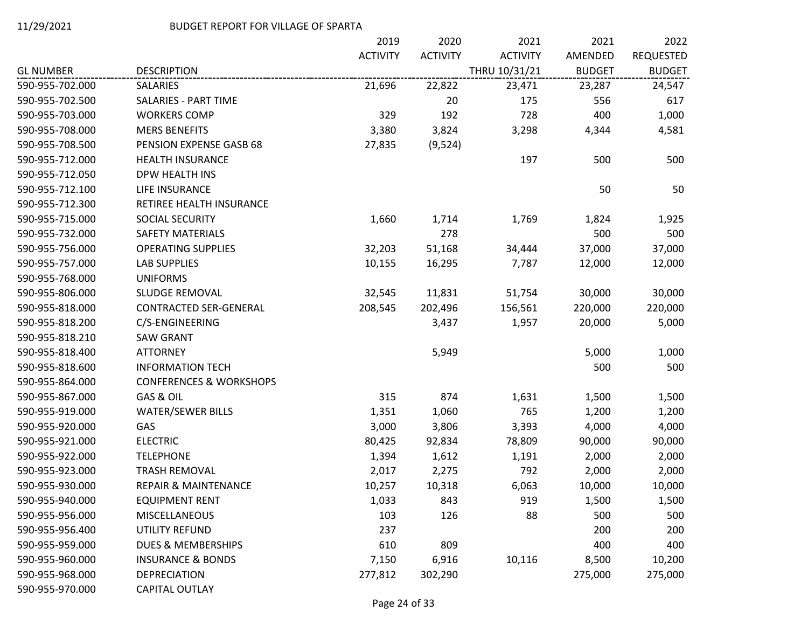|                  |                                    | 2019            | 2020            | 2021            | 2021          | 2022             |
|------------------|------------------------------------|-----------------|-----------------|-----------------|---------------|------------------|
|                  |                                    | <b>ACTIVITY</b> | <b>ACTIVITY</b> | <b>ACTIVITY</b> | AMENDED       | <b>REQUESTED</b> |
| <b>GL NUMBER</b> | <b>DESCRIPTION</b>                 |                 |                 | THRU 10/31/21   | <b>BUDGET</b> | <b>BUDGET</b>    |
| 590-955-702.000  | <b>SALARIES</b>                    | 21,696          | 22,822          | 23,471          | 23,287        | 24,547           |
| 590-955-702.500  | <b>SALARIES - PART TIME</b>        |                 | 20              | 175             | 556           | 617              |
| 590-955-703.000  | <b>WORKERS COMP</b>                | 329             | 192             | 728             | 400           | 1,000            |
| 590-955-708.000  | <b>MERS BENEFITS</b>               | 3,380           | 3,824           | 3,298           | 4,344         | 4,581            |
| 590-955-708.500  | PENSION EXPENSE GASB 68            | 27,835          | (9,524)         |                 |               |                  |
| 590-955-712.000  | <b>HEALTH INSURANCE</b>            |                 |                 | 197             | 500           | 500              |
| 590-955-712.050  | DPW HEALTH INS                     |                 |                 |                 |               |                  |
| 590-955-712.100  | LIFE INSURANCE                     |                 |                 |                 | 50            | 50               |
| 590-955-712.300  | RETIREE HEALTH INSURANCE           |                 |                 |                 |               |                  |
| 590-955-715.000  | SOCIAL SECURITY                    | 1,660           | 1,714           | 1,769           | 1,824         | 1,925            |
| 590-955-732.000  | SAFETY MATERIALS                   |                 | 278             |                 | 500           | 500              |
| 590-955-756.000  | <b>OPERATING SUPPLIES</b>          | 32,203          | 51,168          | 34,444          | 37,000        | 37,000           |
| 590-955-757.000  | <b>LAB SUPPLIES</b>                | 10,155          | 16,295          | 7,787           | 12,000        | 12,000           |
| 590-955-768.000  | <b>UNIFORMS</b>                    |                 |                 |                 |               |                  |
| 590-955-806.000  | SLUDGE REMOVAL                     | 32,545          | 11,831          | 51,754          | 30,000        | 30,000           |
| 590-955-818.000  | CONTRACTED SER-GENERAL             | 208,545         | 202,496         | 156,561         | 220,000       | 220,000          |
| 590-955-818.200  | C/S-ENGINEERING                    |                 | 3,437           | 1,957           | 20,000        | 5,000            |
| 590-955-818.210  | <b>SAW GRANT</b>                   |                 |                 |                 |               |                  |
| 590-955-818.400  | <b>ATTORNEY</b>                    |                 | 5,949           |                 | 5,000         | 1,000            |
| 590-955-818.600  | <b>INFORMATION TECH</b>            |                 |                 |                 | 500           | 500              |
| 590-955-864.000  | <b>CONFERENCES &amp; WORKSHOPS</b> |                 |                 |                 |               |                  |
| 590-955-867.000  | GAS & OIL                          | 315             | 874             | 1,631           | 1,500         | 1,500            |
| 590-955-919.000  | <b>WATER/SEWER BILLS</b>           | 1,351           | 1,060           | 765             | 1,200         | 1,200            |
| 590-955-920.000  | GAS                                | 3,000           | 3,806           | 3,393           | 4,000         | 4,000            |
| 590-955-921.000  | <b>ELECTRIC</b>                    | 80,425          | 92,834          | 78,809          | 90,000        | 90,000           |
| 590-955-922.000  | <b>TELEPHONE</b>                   | 1,394           | 1,612           | 1,191           | 2,000         | 2,000            |
| 590-955-923.000  | <b>TRASH REMOVAL</b>               | 2,017           | 2,275           | 792             | 2,000         | 2,000            |
| 590-955-930.000  | <b>REPAIR &amp; MAINTENANCE</b>    | 10,257          | 10,318          | 6,063           | 10,000        | 10,000           |
| 590-955-940.000  | <b>EQUIPMENT RENT</b>              | 1,033           | 843             | 919             | 1,500         | 1,500            |
| 590-955-956.000  | <b>MISCELLANEOUS</b>               | 103             | 126             | 88              | 500           | 500              |
| 590-955-956.400  | UTILITY REFUND                     | 237             |                 |                 | 200           | 200              |
| 590-955-959.000  | <b>DUES &amp; MEMBERSHIPS</b>      | 610             | 809             |                 | 400           | 400              |
| 590-955-960.000  | <b>INSURANCE &amp; BONDS</b>       | 7,150           | 6,916           | 10,116          | 8,500         | 10,200           |
| 590-955-968.000  | <b>DEPRECIATION</b>                | 277,812         | 302,290         |                 | 275,000       | 275,000          |
| 590-955-970.000  | CAPITAL OUTLAY                     |                 |                 |                 |               |                  |

Page 24 of 33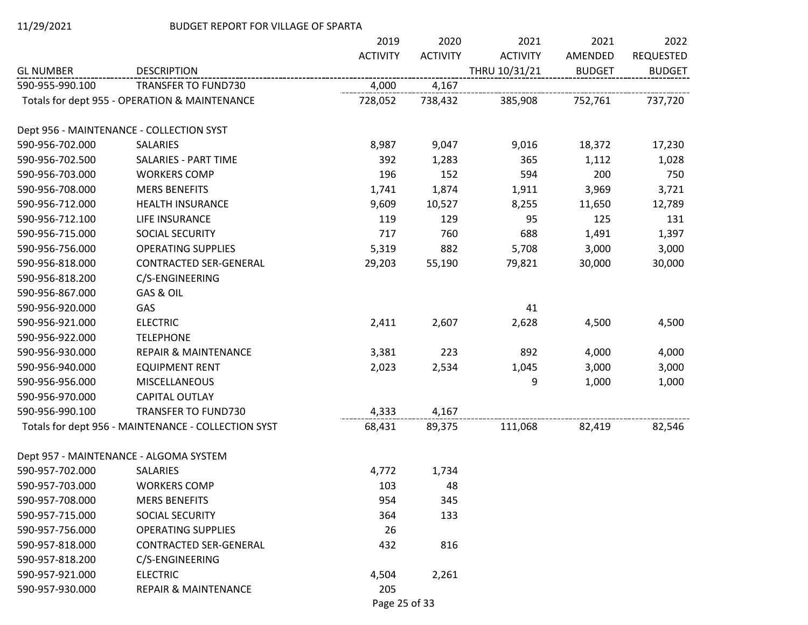|                  |                                                     | 2019            | 2020            | 2021            | 2021          | 2022             |
|------------------|-----------------------------------------------------|-----------------|-----------------|-----------------|---------------|------------------|
|                  |                                                     | <b>ACTIVITY</b> | <b>ACTIVITY</b> | <b>ACTIVITY</b> | AMENDED       | <b>REQUESTED</b> |
| <b>GL NUMBER</b> | <b>DESCRIPTION</b>                                  |                 |                 | THRU 10/31/21   | <b>BUDGET</b> | <b>BUDGET</b>    |
| 590-955-990.100  | TRANSFER TO FUND730                                 | 4,000           | 4,167           |                 |               |                  |
|                  | Totals for dept 955 - OPERATION & MAINTENANCE       | 728,052         | 738,432         | 385,908         | 752,761       | 737,720          |
|                  | Dept 956 - MAINTENANCE - COLLECTION SYST            |                 |                 |                 |               |                  |
| 590-956-702.000  | SALARIES                                            | 8,987           | 9,047           | 9,016           | 18,372        | 17,230           |
| 590-956-702.500  | <b>SALARIES - PART TIME</b>                         | 392             | 1,283           | 365             | 1,112         | 1,028            |
| 590-956-703.000  | <b>WORKERS COMP</b>                                 | 196             | 152             | 594             | 200           | 750              |
| 590-956-708.000  | <b>MERS BENEFITS</b>                                | 1,741           | 1,874           | 1,911           | 3,969         | 3,721            |
| 590-956-712.000  | <b>HEALTH INSURANCE</b>                             | 9,609           | 10,527          | 8,255           | 11,650        | 12,789           |
| 590-956-712.100  | LIFE INSURANCE                                      | 119             | 129             | 95              | 125           | 131              |
| 590-956-715.000  | SOCIAL SECURITY                                     | 717             | 760             | 688             | 1,491         | 1,397            |
| 590-956-756.000  | <b>OPERATING SUPPLIES</b>                           | 5,319           | 882             | 5,708           | 3,000         | 3,000            |
| 590-956-818.000  | <b>CONTRACTED SER-GENERAL</b>                       | 29,203          | 55,190          | 79,821          | 30,000        | 30,000           |
| 590-956-818.200  | C/S-ENGINEERING                                     |                 |                 |                 |               |                  |
| 590-956-867.000  | GAS & OIL                                           |                 |                 |                 |               |                  |
| 590-956-920.000  | GAS                                                 |                 |                 | 41              |               |                  |
| 590-956-921.000  | <b>ELECTRIC</b>                                     | 2,411           | 2,607           | 2,628           | 4,500         | 4,500            |
| 590-956-922.000  | <b>TELEPHONE</b>                                    |                 |                 |                 |               |                  |
| 590-956-930.000  | <b>REPAIR &amp; MAINTENANCE</b>                     | 3,381           | 223             | 892             | 4,000         | 4,000            |
| 590-956-940.000  | <b>EQUIPMENT RENT</b>                               | 2,023           | 2,534           | 1,045           | 3,000         | 3,000            |
| 590-956-956.000  | <b>MISCELLANEOUS</b>                                |                 |                 | 9               | 1,000         | 1,000            |
| 590-956-970.000  | <b>CAPITAL OUTLAY</b>                               |                 |                 |                 |               |                  |
| 590-956-990.100  | TRANSFER TO FUND730                                 | 4,333           | 4,167           |                 |               |                  |
|                  | Totals for dept 956 - MAINTENANCE - COLLECTION SYST | 68,431          | 89,375          | 111,068         | 82,419        | 82,546           |
|                  | Dept 957 - MAINTENANCE - ALGOMA SYSTEM              |                 |                 |                 |               |                  |
| 590-957-702.000  | <b>SALARIES</b>                                     | 4,772           | 1,734           |                 |               |                  |
| 590-957-703.000  | <b>WORKERS COMP</b>                                 | 103             | 48              |                 |               |                  |
| 590-957-708.000  | <b>MERS BENEFITS</b>                                | 954             | 345             |                 |               |                  |
| 590-957-715.000  | SOCIAL SECURITY                                     | 364             | 133             |                 |               |                  |
| 590-957-756.000  | <b>OPERATING SUPPLIES</b>                           | 26              |                 |                 |               |                  |
| 590-957-818.000  | <b>CONTRACTED SER-GENERAL</b>                       | 432             | 816             |                 |               |                  |
| 590-957-818.200  | C/S-ENGINEERING                                     |                 |                 |                 |               |                  |
| 590-957-921.000  | <b>ELECTRIC</b>                                     | 4,504           | 2,261           |                 |               |                  |
| 590-957-930.000  | <b>REPAIR &amp; MAINTENANCE</b>                     | 205             |                 |                 |               |                  |

Page 25 of 33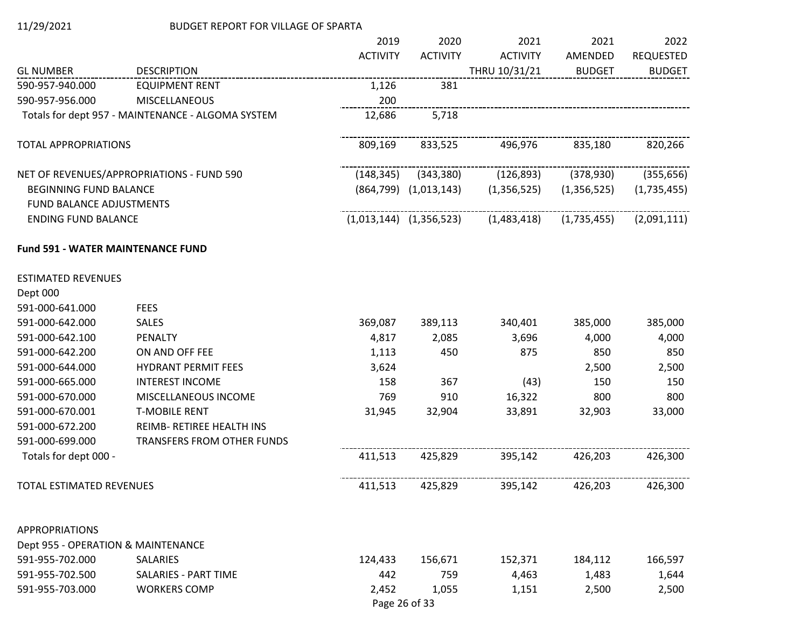|                                          |                                                   | 2019            | 2020                        | 2021            | 2021          | 2022             |
|------------------------------------------|---------------------------------------------------|-----------------|-----------------------------|-----------------|---------------|------------------|
|                                          |                                                   | <b>ACTIVITY</b> | <b>ACTIVITY</b>             | <b>ACTIVITY</b> | AMENDED       | <b>REQUESTED</b> |
| <b>GL NUMBER</b>                         | <b>DESCRIPTION</b>                                |                 |                             | THRU 10/31/21   | <b>BUDGET</b> | <b>BUDGET</b>    |
| 590-957-940.000                          | <b>EQUIPMENT RENT</b>                             | 1,126           | 381                         |                 |               |                  |
| 590-957-956.000                          | <b>MISCELLANEOUS</b>                              | 200             |                             |                 |               |                  |
|                                          | Totals for dept 957 - MAINTENANCE - ALGOMA SYSTEM | 12,686          | 5,718                       |                 |               |                  |
| <b>TOTAL APPROPRIATIONS</b>              |                                                   | 809,169         | 833,525                     | 496,976         | 835,180       | 820,266          |
|                                          | NET OF REVENUES/APPROPRIATIONS - FUND 590         | (148, 345)      | (343, 380)                  | (126, 893)      | (378, 930)    | (355, 656)       |
| <b>BEGINNING FUND BALANCE</b>            |                                                   |                 | $(864,799)$ $(1,013,143)$   | (1,356,525)     | (1,356,525)   | (1,735,455)      |
| FUND BALANCE ADJUSTMENTS                 |                                                   |                 |                             |                 |               |                  |
| <b>ENDING FUND BALANCE</b>               |                                                   |                 | $(1,013,144)$ $(1,356,523)$ | (1,483,418)     | (1,735,455)   | (2,091,111)      |
| <b>Fund 591 - WATER MAINTENANCE FUND</b> |                                                   |                 |                             |                 |               |                  |
| <b>ESTIMATED REVENUES</b>                |                                                   |                 |                             |                 |               |                  |
| Dept 000                                 |                                                   |                 |                             |                 |               |                  |
| 591-000-641.000                          | <b>FEES</b>                                       |                 |                             |                 |               |                  |
| 591-000-642.000                          | <b>SALES</b>                                      | 369,087         | 389,113                     | 340,401         | 385,000       | 385,000          |
| 591-000-642.100                          | PENALTY                                           | 4,817           | 2,085                       | 3,696           | 4,000         | 4,000            |
| 591-000-642.200                          | ON AND OFF FEE                                    | 1,113           | 450                         | 875             | 850           | 850              |
| 591-000-644.000                          | <b>HYDRANT PERMIT FEES</b>                        | 3,624           |                             |                 | 2,500         | 2,500            |
| 591-000-665.000                          | <b>INTEREST INCOME</b>                            | 158             | 367                         | (43)            | 150           | 150              |
| 591-000-670.000                          | MISCELLANEOUS INCOME                              | 769             | 910                         | 16,322          | 800           | 800              |
| 591-000-670.001                          | <b>T-MOBILE RENT</b>                              | 31,945          | 32,904                      | 33,891          | 32,903        | 33,000           |
| 591-000-672.200                          | REIMB- RETIREE HEALTH INS                         |                 |                             |                 |               |                  |
| 591-000-699.000                          | <b>TRANSFERS FROM OTHER FUNDS</b>                 |                 |                             |                 |               |                  |
| Totals for dept 000 -                    |                                                   | 411,513         | 425,829                     | 395,142         | 426,203       | 426,300          |
| TOTAL ESTIMATED REVENUES                 |                                                   | 411,513         | 425,829                     | 395,142         | 426,203       | 426,300          |
| <b>APPROPRIATIONS</b>                    |                                                   |                 |                             |                 |               |                  |
| Dept 955 - OPERATION & MAINTENANCE       |                                                   |                 |                             |                 |               |                  |
| 591-955-702.000                          | SALARIES                                          | 124,433         | 156,671                     | 152,371         | 184,112       | 166,597          |
| 591-955-702.500                          | <b>SALARIES - PART TIME</b>                       | 442             | 759                         | 4,463           | 1,483         | 1,644            |
| 591-955-703.000                          | <b>WORKERS COMP</b>                               | 2,452           | 1,055                       | 1,151           | 2,500         | 2,500            |
|                                          |                                                   |                 | Page 26 of 33               |                 |               |                  |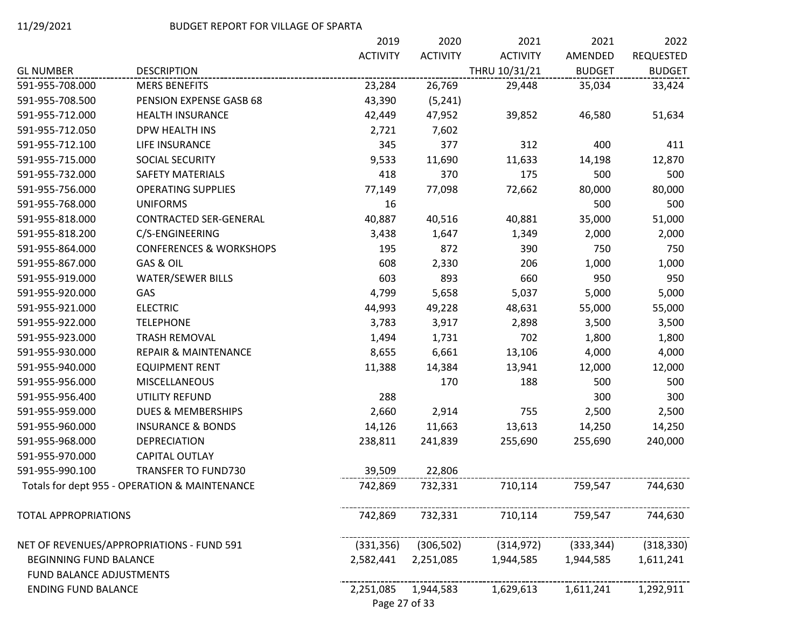|                               |                                               | 2019            | 2020            | 2021            | 2021          | 2022             |
|-------------------------------|-----------------------------------------------|-----------------|-----------------|-----------------|---------------|------------------|
|                               |                                               | <b>ACTIVITY</b> | <b>ACTIVITY</b> | <b>ACTIVITY</b> | AMENDED       | <b>REQUESTED</b> |
| <b>GL NUMBER</b>              | <b>DESCRIPTION</b>                            |                 |                 | THRU 10/31/21   | <b>BUDGET</b> | <b>BUDGET</b>    |
| 591-955-708.000               | <b>MERS BENEFITS</b>                          | 23,284          | 26,769          | 29,448          | 35,034        | 33,424           |
| 591-955-708.500               | PENSION EXPENSE GASB 68                       | 43,390          | (5, 241)        |                 |               |                  |
| 591-955-712.000               | <b>HEALTH INSURANCE</b>                       | 42,449          | 47,952          | 39,852          | 46,580        | 51,634           |
| 591-955-712.050               | DPW HEALTH INS                                | 2,721           | 7,602           |                 |               |                  |
| 591-955-712.100               | LIFE INSURANCE                                | 345             | 377             | 312             | 400           | 411              |
| 591-955-715.000               | SOCIAL SECURITY                               | 9,533           | 11,690          | 11,633          | 14,198        | 12,870           |
| 591-955-732.000               | SAFETY MATERIALS                              | 418             | 370             | 175             | 500           | 500              |
| 591-955-756.000               | <b>OPERATING SUPPLIES</b>                     | 77,149          | 77,098          | 72,662          | 80,000        | 80,000           |
| 591-955-768.000               | <b>UNIFORMS</b>                               | 16              |                 |                 | 500           | 500              |
| 591-955-818.000               | CONTRACTED SER-GENERAL                        | 40,887          | 40,516          | 40,881          | 35,000        | 51,000           |
| 591-955-818.200               | C/S-ENGINEERING                               | 3,438           | 1,647           | 1,349           | 2,000         | 2,000            |
| 591-955-864.000               | <b>CONFERENCES &amp; WORKSHOPS</b>            | 195             | 872             | 390             | 750           | 750              |
| 591-955-867.000               | GAS & OIL                                     | 608             | 2,330           | 206             | 1,000         | 1,000            |
| 591-955-919.000               | <b>WATER/SEWER BILLS</b>                      | 603             | 893             | 660             | 950           | 950              |
| 591-955-920.000               | GAS                                           | 4,799           | 5,658           | 5,037           | 5,000         | 5,000            |
| 591-955-921.000               | <b>ELECTRIC</b>                               | 44,993          | 49,228          | 48,631          | 55,000        | 55,000           |
| 591-955-922.000               | <b>TELEPHONE</b>                              | 3,783           | 3,917           | 2,898           | 3,500         | 3,500            |
| 591-955-923.000               | TRASH REMOVAL                                 | 1,494           | 1,731           | 702             | 1,800         | 1,800            |
| 591-955-930.000               | <b>REPAIR &amp; MAINTENANCE</b>               | 8,655           | 6,661           | 13,106          | 4,000         | 4,000            |
| 591-955-940.000               | <b>EQUIPMENT RENT</b>                         | 11,388          | 14,384          | 13,941          | 12,000        | 12,000           |
| 591-955-956.000               | MISCELLANEOUS                                 |                 | 170             | 188             | 500           | 500              |
| 591-955-956.400               | UTILITY REFUND                                | 288             |                 |                 | 300           | 300              |
| 591-955-959.000               | DUES & MEMBERSHIPS                            | 2,660           | 2,914           | 755             | 2,500         | 2,500            |
| 591-955-960.000               | <b>INSURANCE &amp; BONDS</b>                  | 14,126          | 11,663          | 13,613          | 14,250        | 14,250           |
| 591-955-968.000               | <b>DEPRECIATION</b>                           | 238,811         | 241,839         | 255,690         | 255,690       | 240,000          |
| 591-955-970.000               | CAPITAL OUTLAY                                |                 |                 |                 |               |                  |
| 591-955-990.100               | <b>TRANSFER TO FUND730</b>                    | 39,509          | 22,806          |                 |               |                  |
|                               | Totals for dept 955 - OPERATION & MAINTENANCE | 742,869         | 732,331         | 710,114         | 759,547       | 744,630          |
| <b>TOTAL APPROPRIATIONS</b>   |                                               | 742,869         | 732,331         | 710,114         | 759,547       | 744,630          |
|                               | NET OF REVENUES/APPROPRIATIONS - FUND 591     | (331, 356)      | (306, 502)      | (314, 972)      | (333, 344)    | (318, 330)       |
| <b>BEGINNING FUND BALANCE</b> |                                               | 2,582,441       | 2,251,085       | 1,944,585       | 1,944,585     | 1,611,241        |
| FUND BALANCE ADJUSTMENTS      |                                               |                 |                 |                 |               |                  |
| <b>ENDING FUND BALANCE</b>    |                                               | 2,251,085       | 1,944,583       | 1,629,613       | 1,611,241     | 1,292,911        |
|                               |                                               | Page 27 of 33   |                 |                 |               |                  |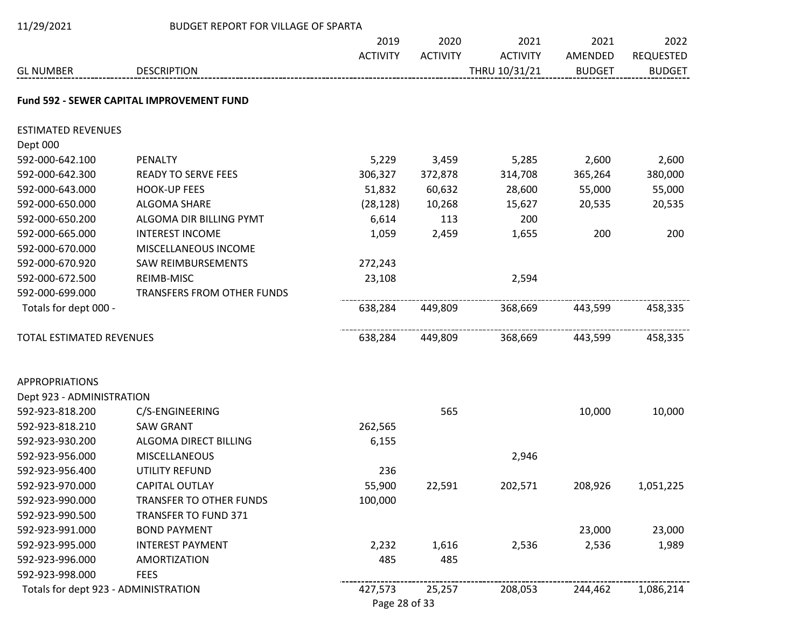| 11/29/2021                           | <b>BUDGET REPORT FOR VILLAGE OF SPARTA</b>       |                 |                 |                 |               |                                 |
|--------------------------------------|--------------------------------------------------|-----------------|-----------------|-----------------|---------------|---------------------------------|
|                                      |                                                  | 2019            | 2020            | 2021            | 2021          | 2022                            |
|                                      |                                                  | <b>ACTIVITY</b> | <b>ACTIVITY</b> | <b>ACTIVITY</b> | AMENDED       | <b>REQUESTED</b>                |
| <b>GL NUMBER</b>                     | <b>DESCRIPTION</b>                               |                 |                 | THRU 10/31/21   | <b>BUDGET</b> | <b>BUDGET</b>                   |
|                                      | <b>Fund 592 - SEWER CAPITAL IMPROVEMENT FUND</b> |                 |                 |                 |               |                                 |
| <b>ESTIMATED REVENUES</b>            |                                                  |                 |                 |                 |               |                                 |
| Dept 000                             |                                                  |                 |                 |                 |               |                                 |
| 592-000-642.100                      | PENALTY                                          | 5,229           | 3,459           | 5,285           | 2,600         | 2,600                           |
| 592-000-642.300                      | <b>READY TO SERVE FEES</b>                       | 306,327         | 372,878         | 314,708         | 365,264       | 380,000                         |
| 592-000-643.000                      | <b>HOOK-UP FEES</b>                              | 51,832          | 60,632          | 28,600          | 55,000        | 55,000                          |
| 592-000-650.000                      | <b>ALGOMA SHARE</b>                              | (28, 128)       | 10,268          | 15,627          | 20,535        | 20,535                          |
| 592-000-650.200                      | ALGOMA DIR BILLING PYMT                          | 6,614           | 113             | 200             |               |                                 |
| 592-000-665.000                      | <b>INTEREST INCOME</b>                           | 1,059           | 2,459           | 1,655           | 200           | 200                             |
| 592-000-670.000                      | MISCELLANEOUS INCOME                             |                 |                 |                 |               |                                 |
| 592-000-670.920                      | <b>SAW REIMBURSEMENTS</b>                        | 272,243         |                 |                 |               |                                 |
| 592-000-672.500                      | REIMB-MISC                                       | 23,108          |                 | 2,594           |               |                                 |
| 592-000-699.000                      | TRANSFERS FROM OTHER FUNDS                       |                 |                 |                 |               |                                 |
| Totals for dept 000 -                |                                                  | 638,284         | 449,809         | 368,669         | 443,599       | 458,335                         |
| <b>TOTAL ESTIMATED REVENUES</b>      |                                                  | 638,284         | 449,809         | 368,669         | 443,599       | <u>-------------</u><br>458,335 |
| <b>APPROPRIATIONS</b>                |                                                  |                 |                 |                 |               |                                 |
| Dept 923 - ADMINISTRATION            |                                                  |                 |                 |                 |               |                                 |
| 592-923-818.200                      | C/S-ENGINEERING                                  |                 | 565             |                 | 10,000        | 10,000                          |
| 592-923-818.210                      | <b>SAW GRANT</b>                                 | 262,565         |                 |                 |               |                                 |
| 592-923-930.200                      | ALGOMA DIRECT BILLING                            | 6,155           |                 |                 |               |                                 |
| 592-923-956.000                      | <b>MISCELLANEOUS</b>                             |                 |                 | 2,946           |               |                                 |
| 592-923-956.400                      | UTILITY REFUND                                   | 236             |                 |                 |               |                                 |
| 592-923-970.000                      | CAPITAL OUTLAY                                   | 55,900          | 22,591          | 202,571         | 208,926       | 1,051,225                       |
| 592-923-990.000                      | <b>TRANSFER TO OTHER FUNDS</b>                   | 100,000         |                 |                 |               |                                 |
| 592-923-990.500                      | <b>TRANSFER TO FUND 371</b>                      |                 |                 |                 |               |                                 |
| 592-923-991.000                      | <b>BOND PAYMENT</b>                              |                 |                 |                 | 23,000        | 23,000                          |
| 592-923-995.000                      | <b>INTEREST PAYMENT</b>                          | 2,232           | 1,616           | 2,536           | 2,536         | 1,989                           |
| 592-923-996.000                      | <b>AMORTIZATION</b>                              | 485             | 485             |                 |               |                                 |
| 592-923-998.000                      | <b>FEES</b>                                      |                 |                 |                 |               |                                 |
| Totals for dept 923 - ADMINISTRATION |                                                  | 427,573         | 25,257          | 208,053         | 244,462       | 1,086,214                       |
|                                      |                                                  | Page 28 of 33   |                 |                 |               |                                 |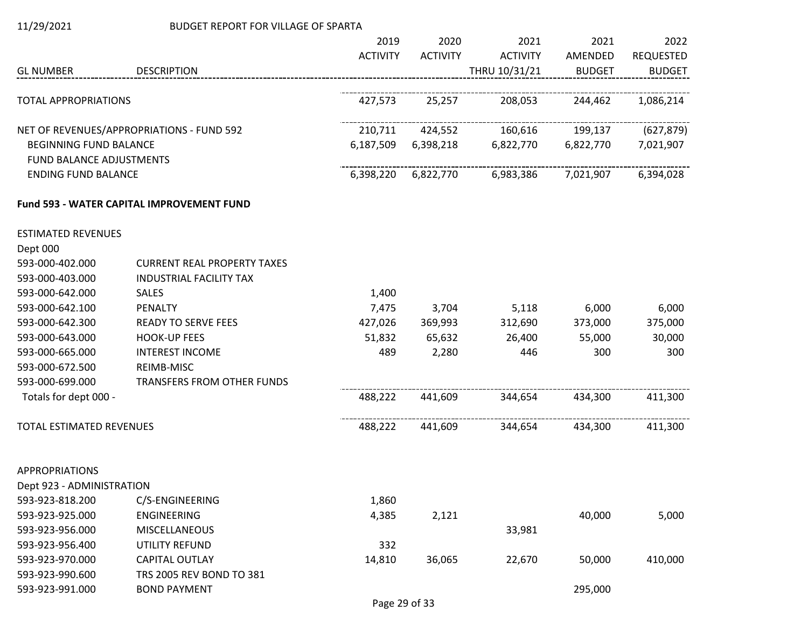| 11/29/2021 |  |
|------------|--|
|            |  |

## BUDGET REPORT FOR VILLAGE OF SPARTA

|                                 |                                                  | 2019            | 2020            | 2021            | 2021          | 2022             |
|---------------------------------|--------------------------------------------------|-----------------|-----------------|-----------------|---------------|------------------|
|                                 |                                                  | <b>ACTIVITY</b> | <b>ACTIVITY</b> | <b>ACTIVITY</b> | AMENDED       | <b>REQUESTED</b> |
| <b>GL NUMBER</b>                | <b>DESCRIPTION</b>                               |                 |                 | THRU 10/31/21   | <b>BUDGET</b> | <b>BUDGET</b>    |
| <b>TOTAL APPROPRIATIONS</b>     |                                                  | 427,573         | 25,257          | 208,053         | 244,462       | 1,086,214        |
|                                 |                                                  |                 |                 |                 |               |                  |
|                                 | NET OF REVENUES/APPROPRIATIONS - FUND 592        | 210,711         | 424,552         | 160,616         | 199,137       | (627, 879)       |
| <b>BEGINNING FUND BALANCE</b>   |                                                  | 6,187,509       | 6,398,218       | 6,822,770       | 6,822,770     | 7,021,907        |
| <b>FUND BALANCE ADJUSTMENTS</b> |                                                  |                 |                 |                 |               |                  |
| <b>ENDING FUND BALANCE</b>      |                                                  | 6,398,220       | 6,822,770       | 6,983,386       | 7,021,907     | 6,394,028        |
|                                 | <b>Fund 593 - WATER CAPITAL IMPROVEMENT FUND</b> |                 |                 |                 |               |                  |
| <b>ESTIMATED REVENUES</b>       |                                                  |                 |                 |                 |               |                  |
| Dept 000                        |                                                  |                 |                 |                 |               |                  |
| 593-000-402.000                 | <b>CURRENT REAL PROPERTY TAXES</b>               |                 |                 |                 |               |                  |
| 593-000-403.000                 | INDUSTRIAL FACILITY TAX                          |                 |                 |                 |               |                  |
| 593-000-642.000                 | SALES                                            | 1,400           |                 |                 |               |                  |
| 593-000-642.100                 | <b>PENALTY</b>                                   | 7,475           | 3,704           | 5,118           | 6,000         | 6,000            |
| 593-000-642.300                 | <b>READY TO SERVE FEES</b>                       | 427,026         | 369,993         | 312,690         | 373,000       | 375,000          |
| 593-000-643.000                 | <b>HOOK-UP FEES</b>                              | 51,832          | 65,632          | 26,400          | 55,000        | 30,000           |
| 593-000-665.000                 | <b>INTEREST INCOME</b>                           | 489             | 2,280           | 446             | 300           | 300              |
| 593-000-672.500                 | REIMB-MISC                                       |                 |                 |                 |               |                  |
| 593-000-699.000                 | TRANSFERS FROM OTHER FUNDS                       |                 |                 |                 |               |                  |
| Totals for dept 000 -           |                                                  | 488,222         | 441,609         | 344,654         | 434,300       | 411,300          |
| TOTAL ESTIMATED REVENUES        |                                                  | 488,222         | 441,609         | 344,654         | 434,300       | 411,300          |
| <b>APPROPRIATIONS</b>           |                                                  |                 |                 |                 |               |                  |
| Dept 923 - ADMINISTRATION       |                                                  |                 |                 |                 |               |                  |
| 593-923-818.200                 | C/S-ENGINEERING                                  | 1,860           |                 |                 |               |                  |
| 593-923-925.000                 | <b>ENGINEERING</b>                               | 4,385           | 2,121           |                 | 40,000        | 5,000            |
| 593-923-956.000                 | <b>MISCELLANEOUS</b>                             |                 |                 | 33,981          |               |                  |
| 593-923-956.400                 | UTILITY REFUND                                   | 332             |                 |                 |               |                  |
| 593-923-970.000                 | <b>CAPITAL OUTLAY</b>                            | 14,810          | 36,065          | 22,670          | 50,000        | 410,000          |
| 593-923-990.600                 | TRS 2005 REV BOND TO 381                         |                 |                 |                 |               |                  |
| 593-923-991.000                 | <b>BOND PAYMENT</b>                              |                 |                 |                 | 295,000       |                  |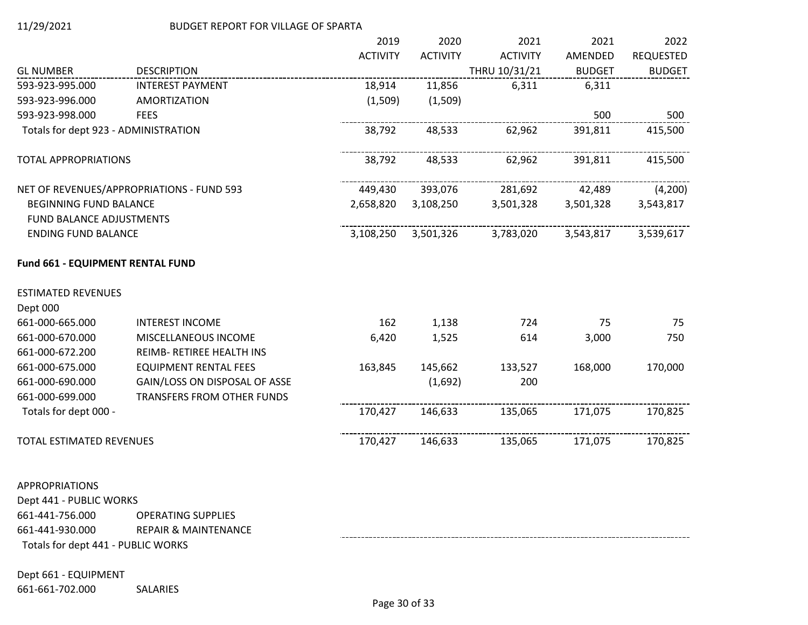|                                      |                                           | 2019            | 2020            | 2021            | 2021          | 2022             |
|--------------------------------------|-------------------------------------------|-----------------|-----------------|-----------------|---------------|------------------|
|                                      |                                           | <b>ACTIVITY</b> | <b>ACTIVITY</b> | <b>ACTIVITY</b> | AMENDED       | <b>REQUESTED</b> |
| <b>GL NUMBER</b>                     | <b>DESCRIPTION</b>                        |                 |                 | THRU 10/31/21   | <b>BUDGET</b> | <b>BUDGET</b>    |
| 593-923-995.000                      | <b>INTEREST PAYMENT</b>                   | 18,914          | 11,856          | 6,311           | 6,311         |                  |
| 593-923-996.000                      | <b>AMORTIZATION</b>                       | (1,509)         | (1,509)         |                 |               |                  |
| 593-923-998.000                      | <b>FEES</b>                               |                 |                 |                 | 500           | 500              |
| Totals for dept 923 - ADMINISTRATION |                                           | 38,792          | 48,533          | 62,962          | 391,811       | 415,500          |
| <b>TOTAL APPROPRIATIONS</b>          |                                           | 38,792          | 48,533          | 62,962          | 391,811       | 415,500          |
|                                      | NET OF REVENUES/APPROPRIATIONS - FUND 593 | 449,430         | 393,076         | 281,692         | 42,489        | (4,200)          |
| <b>BEGINNING FUND BALANCE</b>        |                                           | 2,658,820       | 3,108,250       | 3,501,328       | 3,501,328     | 3,543,817        |
| <b>FUND BALANCE ADJUSTMENTS</b>      |                                           |                 |                 |                 |               |                  |
| <b>ENDING FUND BALANCE</b>           |                                           | 3,108,250       | 3,501,326       | 3,783,020       | 3,543,817     | 3,539,617        |
| Fund 661 - EQUIPMENT RENTAL FUND     |                                           |                 |                 |                 |               |                  |
| <b>ESTIMATED REVENUES</b>            |                                           |                 |                 |                 |               |                  |
| Dept 000                             |                                           |                 |                 |                 |               |                  |
| 661-000-665.000                      | <b>INTEREST INCOME</b>                    | 162             | 1,138           | 724             | 75            | 75               |
| 661-000-670.000                      | MISCELLANEOUS INCOME                      | 6,420           | 1,525           | 614             | 3,000         | 750              |
| 661-000-672.200                      | REIMB- RETIREE HEALTH INS                 |                 |                 |                 |               |                  |
| 661-000-675.000                      | <b>EQUIPMENT RENTAL FEES</b>              | 163,845         | 145,662         | 133,527         | 168,000       | 170,000          |
| 661-000-690.000                      | GAIN/LOSS ON DISPOSAL OF ASSE             |                 | (1,692)         | 200             |               |                  |
| 661-000-699.000                      | TRANSFERS FROM OTHER FUNDS                |                 |                 |                 |               |                  |
| Totals for dept 000 -                |                                           | 170,427         | 146,633         | 135,065         | 171,075       | 170,825          |
| TOTAL ESTIMATED REVENUES             |                                           | 170,427         | 146,633         | 135,065         | 171,075       | 170,825          |
|                                      |                                           |                 |                 |                 |               |                  |

# APPROPRIATIONS

Dept 441 - PUBLIC WORKS 661-441-756.000 OPERATING SUPPLIES 661-441-930.000 REPAIR & MAINTENANCE Totals for dept 441 - PUBLIC WORKS

## Dept 661 - EQUIPMENT

661-661-702.000 SALARIES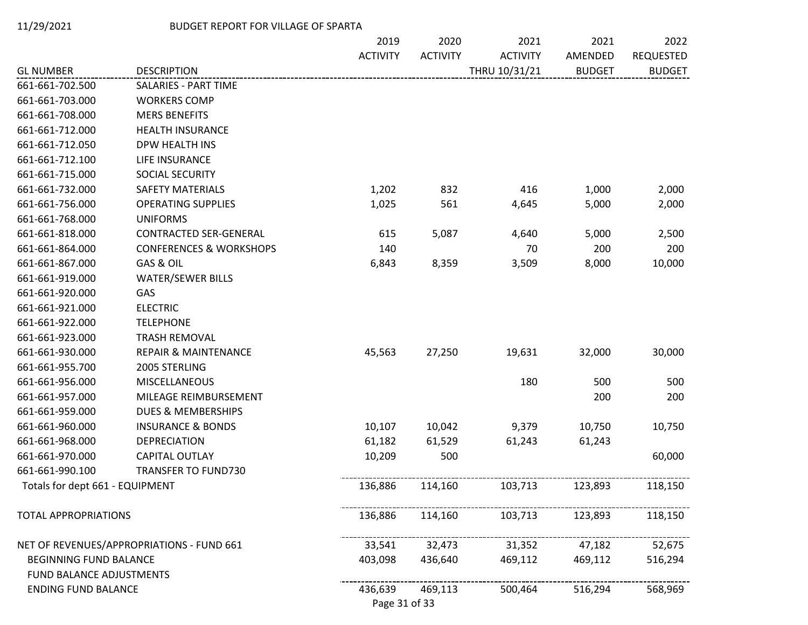|                                 |                                           | 2019                     | 2020            | 2021            | 2021          | 2022             |
|---------------------------------|-------------------------------------------|--------------------------|-----------------|-----------------|---------------|------------------|
|                                 |                                           | <b>ACTIVITY</b>          | <b>ACTIVITY</b> | <b>ACTIVITY</b> | AMENDED       | <b>REQUESTED</b> |
| <b>GL NUMBER</b>                | <b>DESCRIPTION</b>                        |                          |                 | THRU 10/31/21   | <b>BUDGET</b> | <b>BUDGET</b>    |
| 661-661-702.500                 | <b>SALARIES - PART TIME</b>               |                          |                 |                 |               |                  |
| 661-661-703.000                 | <b>WORKERS COMP</b>                       |                          |                 |                 |               |                  |
| 661-661-708.000                 | <b>MERS BENEFITS</b>                      |                          |                 |                 |               |                  |
| 661-661-712.000                 | <b>HEALTH INSURANCE</b>                   |                          |                 |                 |               |                  |
| 661-661-712.050                 | DPW HEALTH INS                            |                          |                 |                 |               |                  |
| 661-661-712.100                 | LIFE INSURANCE                            |                          |                 |                 |               |                  |
| 661-661-715.000                 | SOCIAL SECURITY                           |                          |                 |                 |               |                  |
| 661-661-732.000                 | SAFETY MATERIALS                          | 1,202                    | 832             | 416             | 1,000         | 2,000            |
| 661-661-756.000                 | <b>OPERATING SUPPLIES</b>                 | 1,025                    | 561             | 4,645           | 5,000         | 2,000            |
| 661-661-768.000                 | <b>UNIFORMS</b>                           |                          |                 |                 |               |                  |
| 661-661-818.000                 | <b>CONTRACTED SER-GENERAL</b>             | 615                      | 5,087           | 4,640           | 5,000         | 2,500            |
| 661-661-864.000                 | <b>CONFERENCES &amp; WORKSHOPS</b>        | 140                      |                 | 70              | 200           | 200              |
| 661-661-867.000                 | GAS & OIL                                 | 6,843                    | 8,359           | 3,509           | 8,000         | 10,000           |
| 661-661-919.000                 | <b>WATER/SEWER BILLS</b>                  |                          |                 |                 |               |                  |
| 661-661-920.000                 | GAS                                       |                          |                 |                 |               |                  |
| 661-661-921.000                 | <b>ELECTRIC</b>                           |                          |                 |                 |               |                  |
| 661-661-922.000                 | <b>TELEPHONE</b>                          |                          |                 |                 |               |                  |
| 661-661-923.000                 | <b>TRASH REMOVAL</b>                      |                          |                 |                 |               |                  |
| 661-661-930.000                 | <b>REPAIR &amp; MAINTENANCE</b>           | 45,563                   | 27,250          | 19,631          | 32,000        | 30,000           |
| 661-661-955.700                 | 2005 STERLING                             |                          |                 |                 |               |                  |
| 661-661-956.000                 | MISCELLANEOUS                             |                          |                 | 180             | 500           | 500              |
| 661-661-957.000                 | MILEAGE REIMBURSEMENT                     |                          |                 |                 | 200           | 200              |
| 661-661-959.000                 | <b>DUES &amp; MEMBERSHIPS</b>             |                          |                 |                 |               |                  |
| 661-661-960.000                 | <b>INSURANCE &amp; BONDS</b>              | 10,107                   | 10,042          | 9,379           | 10,750        | 10,750           |
| 661-661-968.000                 | <b>DEPRECIATION</b>                       | 61,182                   | 61,529          | 61,243          | 61,243        |                  |
| 661-661-970.000                 | CAPITAL OUTLAY                            | 10,209                   | 500             |                 |               | 60,000           |
| 661-661-990.100                 | <b>TRANSFER TO FUND730</b>                |                          |                 |                 |               |                  |
| Totals for dept 661 - EQUIPMENT |                                           | 136,886                  | 114,160         | 103,713         | 123,893       | 118,150          |
| <b>TOTAL APPROPRIATIONS</b>     |                                           | 136,886                  | 114,160         | 103,713         | 123,893       | 118,150          |
|                                 | NET OF REVENUES/APPROPRIATIONS - FUND 661 | 33,541                   | 32,473          | 31,352          | 47,182        | 52,675           |
| BEGINNING FUND BALANCE          |                                           | 403,098                  | 436,640         | 469,112         | 469,112       | 516,294          |
| FUND BALANCE ADJUSTMENTS        |                                           |                          |                 |                 |               |                  |
| <b>ENDING FUND BALANCE</b>      |                                           | 436,639<br>Page 31 of 33 | 469,113         | 500,464         | 516,294       | 568,969          |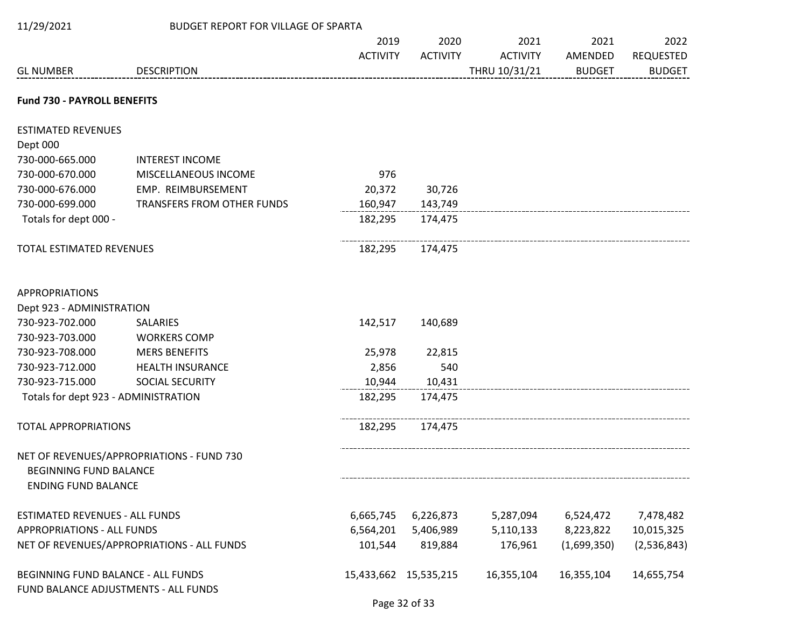| 11/29/2021                                                                 | BUDGET REPORT FOR VILLAGE OF SPARTA        |                       |                 |                 |               |                  |
|----------------------------------------------------------------------------|--------------------------------------------|-----------------------|-----------------|-----------------|---------------|------------------|
|                                                                            |                                            | 2019                  | 2020            | 2021            | 2021          | 2022             |
|                                                                            |                                            | <b>ACTIVITY</b>       | <b>ACTIVITY</b> | <b>ACTIVITY</b> | AMENDED       | <b>REQUESTED</b> |
| <b>GL NUMBER</b>                                                           | <b>DESCRIPTION</b>                         |                       |                 | THRU 10/31/21   | <b>BUDGET</b> | <b>BUDGET</b>    |
| <b>Fund 730 - PAYROLL BENEFITS</b>                                         |                                            |                       |                 |                 |               |                  |
| <b>ESTIMATED REVENUES</b>                                                  |                                            |                       |                 |                 |               |                  |
| Dept 000                                                                   |                                            |                       |                 |                 |               |                  |
| 730-000-665.000                                                            | <b>INTEREST INCOME</b>                     |                       |                 |                 |               |                  |
| 730-000-670.000                                                            | MISCELLANEOUS INCOME                       | 976                   |                 |                 |               |                  |
| 730-000-676.000                                                            | EMP. REIMBURSEMENT                         | 20,372                | 30,726          |                 |               |                  |
| 730-000-699.000                                                            | TRANSFERS FROM OTHER FUNDS                 | 160,947               | 143,749         |                 |               |                  |
| Totals for dept 000 -                                                      |                                            | 182,295               | 174,475         |                 |               |                  |
| TOTAL ESTIMATED REVENUES                                                   |                                            | 182,295               | 174,475         |                 |               |                  |
| <b>APPROPRIATIONS</b>                                                      |                                            |                       |                 |                 |               |                  |
| Dept 923 - ADMINISTRATION                                                  |                                            |                       |                 |                 |               |                  |
| 730-923-702.000                                                            | <b>SALARIES</b>                            | 142,517               | 140,689         |                 |               |                  |
| 730-923-703.000                                                            | <b>WORKERS COMP</b>                        |                       |                 |                 |               |                  |
| 730-923-708.000                                                            | <b>MERS BENEFITS</b>                       | 25,978                | 22,815          |                 |               |                  |
| 730-923-712.000                                                            | <b>HEALTH INSURANCE</b>                    | 2,856                 | 540             |                 |               |                  |
| 730-923-715.000                                                            | SOCIAL SECURITY                            | 10,944                | 10,431          |                 |               |                  |
| Totals for dept 923 - ADMINISTRATION                                       |                                            | 182,295               | 174,475         |                 |               |                  |
| <b>TOTAL APPROPRIATIONS</b>                                                |                                            | 182,295               | 174,475         |                 |               |                  |
| <b>BEGINNING FUND BALANCE</b><br><b>ENDING FUND BALANCE</b>                | NET OF REVENUES/APPROPRIATIONS - FUND 730  |                       |                 |                 |               |                  |
| <b>ESTIMATED REVENUES - ALL FUNDS</b>                                      |                                            | 6,665,745             | 6,226,873       | 5,287,094       | 6,524,472     | 7,478,482        |
| <b>APPROPRIATIONS - ALL FUNDS</b>                                          |                                            | 6,564,201             | 5,406,989       | 5,110,133       | 8,223,822     | 10,015,325       |
|                                                                            | NET OF REVENUES/APPROPRIATIONS - ALL FUNDS | 101,544               | 819,884         | 176,961         | (1,699,350)   | (2,536,843)      |
| BEGINNING FUND BALANCE - ALL FUNDS<br>FUND BALANCE ADJUSTMENTS - ALL FUNDS |                                            | 15,433,662 15,535,215 |                 | 16,355,104      | 16,355,104    | 14,655,754       |